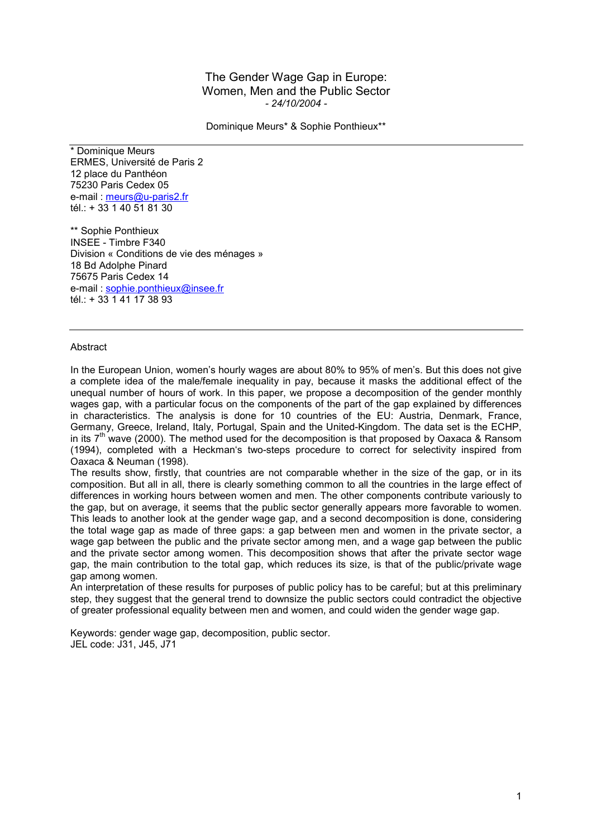## The Gender Wage Gap in Europe: Women, Men and the Public Sector *- 24/10/2004 -*

Dominique Meurs\* & Sophie Ponthieux\*\*

\* Dominique Meurs ERMES, Université de Paris 2 12 place du Panthéon 75230 Paris Cedex 05 e-mail : meurs@u-paris2.fr tél.: + 33 1 40 51 81 30

\*\* Sophie Ponthieux INSEE - Timbre F340 Division « Conditions de vie des ménages » 18 Bd Adolphe Pinard 75675 Paris Cedex 14 e-mail : sophie.ponthieux@insee.fr tél.: + 33 1 41 17 38 93

## **Abstract**

In the European Union, women's hourly wages are about 80% to 95% of men's. But this does not give a complete idea of the male/female inequality in pay, because it masks the additional effect of the unequal number of hours of work. In this paper, we propose a decomposition of the gender monthly wages gap, with a particular focus on the components of the part of the gap explained by differences in characteristics. The analysis is done for 10 countries of the EU: Austria, Denmark, France, Germany, Greece, Ireland, Italy, Portugal, Spain and the United-Kingdom. The data set is the ECHP, in its  $7<sup>th</sup>$  wave (2000). The method used for the decomposition is that proposed by Oaxaca & Ransom (1994), completed with a Heckman's two-steps procedure to correct for selectivity inspired from Oaxaca & Neuman (1998).

The results show, firstly, that countries are not comparable whether in the size of the gap, or in its composition. But all in all, there is clearly something common to all the countries in the large effect of differences in working hours between women and men. The other components contribute variously to the gap, but on average, it seems that the public sector generally appears more favorable to women. This leads to another look at the gender wage gap, and a second decomposition is done, considering the total wage gap as made of three gaps: a gap between men and women in the private sector, a wage gap between the public and the private sector among men, and a wage gap between the public and the private sector among women. This decomposition shows that after the private sector wage gap, the main contribution to the total gap, which reduces its size, is that of the public/private wage gap among women.

An interpretation of these results for purposes of public policy has to be careful; but at this preliminary step, they suggest that the general trend to downsize the public sectors could contradict the objective of greater professional equality between men and women, and could widen the gender wage gap.

Keywords: gender wage gap, decomposition, public sector. JEL code: J31, J45, J71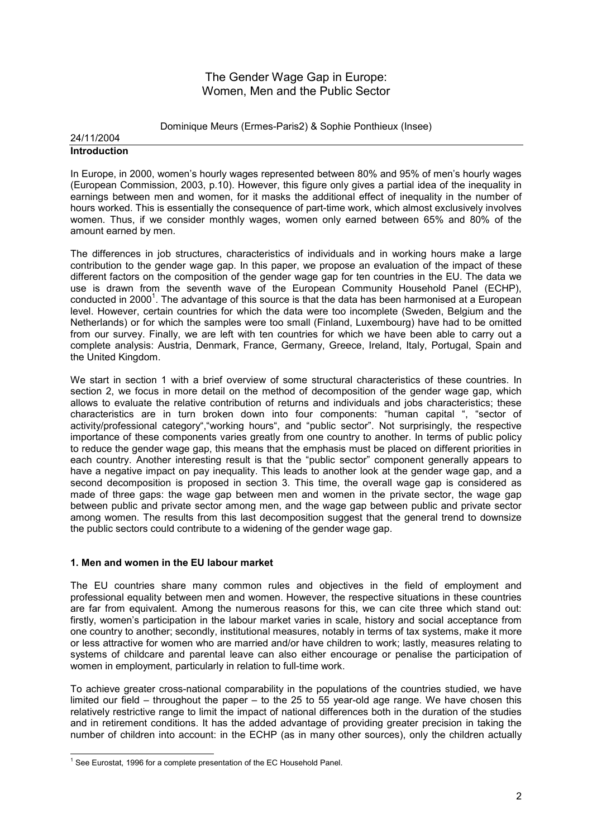# The Gender Wage Gap in Europe: Women, Men and the Public Sector

Dominique Meurs (Ermes-Paris2) & Sophie Ponthieux (Insee)

#### 24/11/2004 **Introduction**

In Europe, in 2000, women's hourly wages represented between 80% and 95% of men's hourly wages (European Commission, 2003, p.10). However, this figure only gives a partial idea of the inequality in earnings between men and women, for it masks the additional effect of inequality in the number of hours worked. This is essentially the consequence of part-time work, which almost exclusively involves women. Thus, if we consider monthly wages, women only earned between 65% and 80% of the amount earned by men.

The differences in job structures, characteristics of individuals and in working hours make a large contribution to the gender wage gap. In this paper, we propose an evaluation of the impact of these different factors on the composition of the gender wage gap for ten countries in the EU. The data we use is drawn from the seventh wave of the European Community Household Panel (ECHP), conducted in 2000<sup>1</sup>. The advantage of this source is that the data has been harmonised at a European level. However, certain countries for which the data were too incomplete (Sweden, Belgium and the Netherlands) or for which the samples were too small (Finland, Luxembourg) have had to be omitted from our survey. Finally, we are left with ten countries for which we have been able to carry out a complete analysis: Austria, Denmark, France, Germany, Greece, Ireland, Italy, Portugal, Spain and the United Kingdom.

We start in section 1 with a brief overview of some structural characteristics of these countries. In section 2, we focus in more detail on the method of decomposition of the gender wage gap, which allows to evaluate the relative contribution of returns and individuals and jobs characteristics; these characteristics are in turn broken down into four components: "human capital ", "sector of activity/professional category","working hours", and "public sector". Not surprisingly, the respective importance of these components varies greatly from one country to another. In terms of public policy to reduce the gender wage gap, this means that the emphasis must be placed on different priorities in each country. Another interesting result is that the "public sector" component generally appears to have a negative impact on pay inequality. This leads to another look at the gender wage gap, and a second decomposition is proposed in section 3. This time, the overall wage gap is considered as made of three gaps: the wage gap between men and women in the private sector, the wage gap between public and private sector among men, and the wage gap between public and private sector among women. The results from this last decomposition suggest that the general trend to downsize the public sectors could contribute to a widening of the gender wage gap.

## **1. Men and women in the EU labour market**

The EU countries share many common rules and objectives in the field of employment and professional equality between men and women. However, the respective situations in these countries are far from equivalent. Among the numerous reasons for this, we can cite three which stand out: firstly, women's participation in the labour market varies in scale, history and social acceptance from one country to another; secondly, institutional measures, notably in terms of tax systems, make it more or less attractive for women who are married and/or have children to work; lastly, measures relating to systems of childcare and parental leave can also either encourage or penalise the participation of women in employment, particularly in relation to full-time work.

To achieve greater cross-national comparability in the populations of the countries studied, we have limited our field – throughout the paper – to the 25 to 55 year-old age range. We have chosen this relatively restrictive range to limit the impact of national differences both in the duration of the studies and in retirement conditions. It has the added advantage of providing greater precision in taking the number of children into account: in the ECHP (as in many other sources), only the children actually

l  $1$  See Eurostat, 1996 for a complete presentation of the EC Household Panel.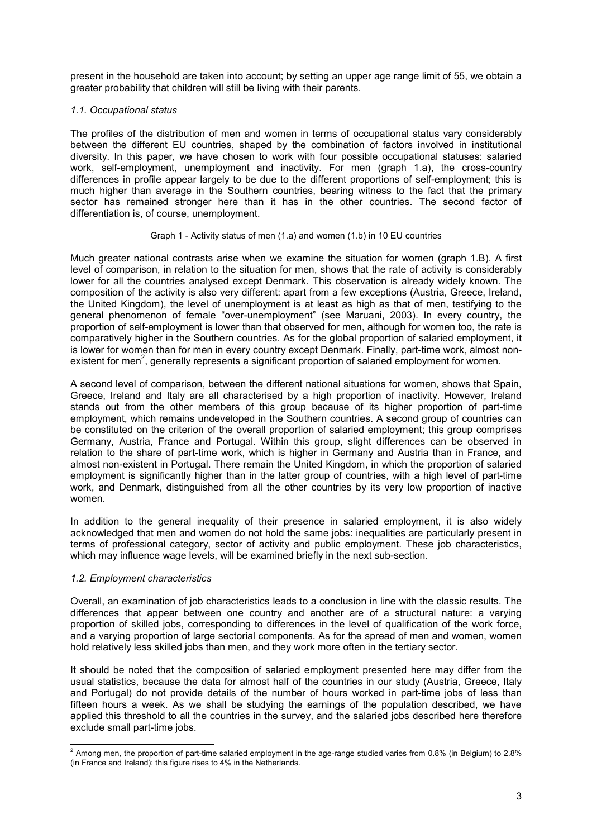present in the household are taken into account; by setting an upper age range limit of 55, we obtain a greater probability that children will still be living with their parents.

## *1.1. Occupational status*

The profiles of the distribution of men and women in terms of occupational status vary considerably between the different EU countries, shaped by the combination of factors involved in institutional diversity. In this paper, we have chosen to work with four possible occupational statuses: salaried work, self-employment, unemployment and inactivity. For men (graph 1.a), the cross-country differences in profile appear largely to be due to the different proportions of self-employment; this is much higher than average in the Southern countries, bearing witness to the fact that the primary sector has remained stronger here than it has in the other countries. The second factor of differentiation is, of course, unemployment.

## Graph 1 - Activity status of men (1.a) and women (1.b) in 10 EU countries

Much greater national contrasts arise when we examine the situation for women (graph 1.B). A first level of comparison, in relation to the situation for men, shows that the rate of activity is considerably lower for all the countries analysed except Denmark. This observation is already widely known. The composition of the activity is also very different: apart from a few exceptions (Austria, Greece, Ireland, the United Kingdom), the level of unemployment is at least as high as that of men, testifying to the general phenomenon of female "over-unemployment" (see Maruani, 2003). In every country, the proportion of self-employment is lower than that observed for men, although for women too, the rate is comparatively higher in the Southern countries. As for the global proportion of salaried employment, it is lower for women than for men in every country except Denmark. Finally, part-time work, almost nonexistent for men<sup>2</sup>, generally represents a significant proportion of salaried employment for women.

A second level of comparison, between the different national situations for women, shows that Spain, Greece, Ireland and Italy are all characterised by a high proportion of inactivity. However, Ireland stands out from the other members of this group because of its higher proportion of part-time employment, which remains undeveloped in the Southern countries. A second group of countries can be constituted on the criterion of the overall proportion of salaried employment; this group comprises Germany, Austria, France and Portugal. Within this group, slight differences can be observed in relation to the share of part-time work, which is higher in Germany and Austria than in France, and almost non-existent in Portugal. There remain the United Kingdom, in which the proportion of salaried employment is significantly higher than in the latter group of countries, with a high level of part-time work, and Denmark, distinguished from all the other countries by its very low proportion of inactive women.

In addition to the general inequality of their presence in salaried employment, it is also widely acknowledged that men and women do not hold the same jobs: inequalities are particularly present in terms of professional category, sector of activity and public employment. These job characteristics, which may influence wage levels, will be examined briefly in the next sub-section.

## *1.2. Employment characteristics*

Overall, an examination of job characteristics leads to a conclusion in line with the classic results. The differences that appear between one country and another are of a structural nature: a varying proportion of skilled jobs, corresponding to differences in the level of qualification of the work force, and a varying proportion of large sectorial components. As for the spread of men and women, women hold relatively less skilled jobs than men, and they work more often in the tertiary sector.

It should be noted that the composition of salaried employment presented here may differ from the usual statistics, because the data for almost half of the countries in our study (Austria, Greece, Italy and Portugal) do not provide details of the number of hours worked in part-time jobs of less than fifteen hours a week. As we shall be studying the earnings of the population described, we have applied this threshold to all the countries in the survey, and the salaried jobs described here therefore exclude small part-time jobs.

 2 Among men, the proportion of part-time salaried employment in the age-range studied varies from 0.8% (in Belgium) to 2.8% (in France and Ireland); this figure rises to 4% in the Netherlands.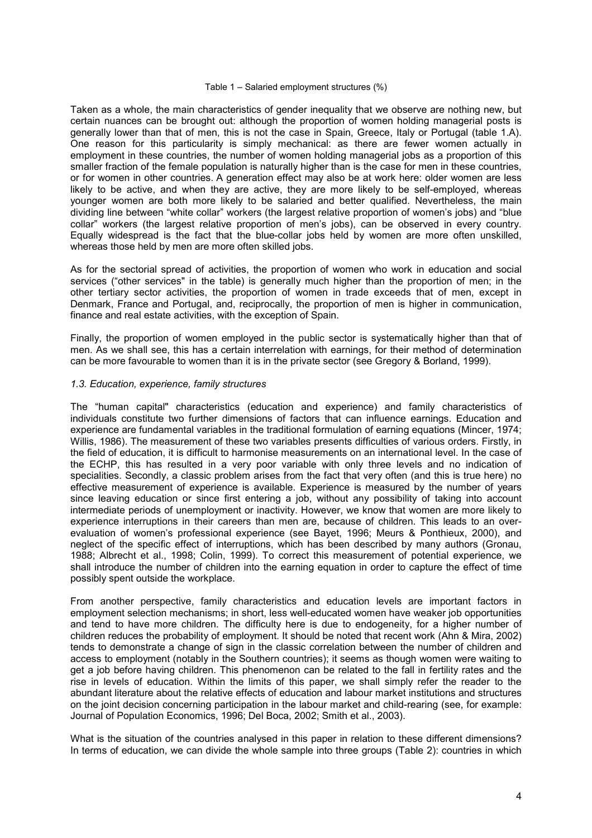#### Table 1 – Salaried employment structures (%)

Taken as a whole, the main characteristics of gender inequality that we observe are nothing new, but certain nuances can be brought out: although the proportion of women holding managerial posts is generally lower than that of men, this is not the case in Spain, Greece, Italy or Portugal (table 1.A). One reason for this particularity is simply mechanical: as there are fewer women actually in employment in these countries, the number of women holding managerial jobs as a proportion of this smaller fraction of the female population is naturally higher than is the case for men in these countries, or for women in other countries. A generation effect may also be at work here: older women are less likely to be active, and when they are active, they are more likely to be self-employed, whereas younger women are both more likely to be salaried and better qualified. Nevertheless, the main dividing line between "white collar" workers (the largest relative proportion of women's jobs) and "blue collar" workers (the largest relative proportion of men's jobs), can be observed in every country. Equally widespread is the fact that the blue-collar jobs held by women are more often unskilled, whereas those held by men are more often skilled jobs.

As for the sectorial spread of activities, the proportion of women who work in education and social services ("other services" in the table) is generally much higher than the proportion of men; in the other tertiary sector activities, the proportion of women in trade exceeds that of men, except in Denmark, France and Portugal, and, reciprocally, the proportion of men is higher in communication, finance and real estate activities, with the exception of Spain.

Finally, the proportion of women employed in the public sector is systematically higher than that of men. As we shall see, this has a certain interrelation with earnings, for their method of determination can be more favourable to women than it is in the private sector (see Gregory & Borland, 1999).

#### *1.3. Education, experience, family structures*

The "human capital" characteristics (education and experience) and family characteristics of individuals constitute two further dimensions of factors that can influence earnings. Education and experience are fundamental variables in the traditional formulation of earning equations (Mincer, 1974; Willis, 1986). The measurement of these two variables presents difficulties of various orders. Firstly, in the field of education, it is difficult to harmonise measurements on an international level. In the case of the ECHP, this has resulted in a very poor variable with only three levels and no indication of specialities. Secondly, a classic problem arises from the fact that very often (and this is true here) no effective measurement of experience is available. Experience is measured by the number of years since leaving education or since first entering a job, without any possibility of taking into account intermediate periods of unemployment or inactivity. However, we know that women are more likely to experience interruptions in their careers than men are, because of children. This leads to an overevaluation of women's professional experience (see Bayet, 1996; Meurs & Ponthieux, 2000), and neglect of the specific effect of interruptions, which has been described by many authors (Gronau, 1988; Albrecht et al., 1998; Colin, 1999). To correct this measurement of potential experience, we shall introduce the number of children into the earning equation in order to capture the effect of time possibly spent outside the workplace.

From another perspective, family characteristics and education levels are important factors in employment selection mechanisms; in short, less well-educated women have weaker job opportunities and tend to have more children. The difficulty here is due to endogeneity, for a higher number of children reduces the probability of employment. It should be noted that recent work (Ahn & Mira, 2002) tends to demonstrate a change of sign in the classic correlation between the number of children and access to employment (notably in the Southern countries); it seems as though women were waiting to get a job before having children. This phenomenon can be related to the fall in fertility rates and the rise in levels of education. Within the limits of this paper, we shall simply refer the reader to the abundant literature about the relative effects of education and labour market institutions and structures on the joint decision concerning participation in the labour market and child-rearing (see, for example: Journal of Population Economics, 1996; Del Boca, 2002; Smith et al., 2003).

What is the situation of the countries analysed in this paper in relation to these different dimensions? In terms of education, we can divide the whole sample into three groups (Table 2): countries in which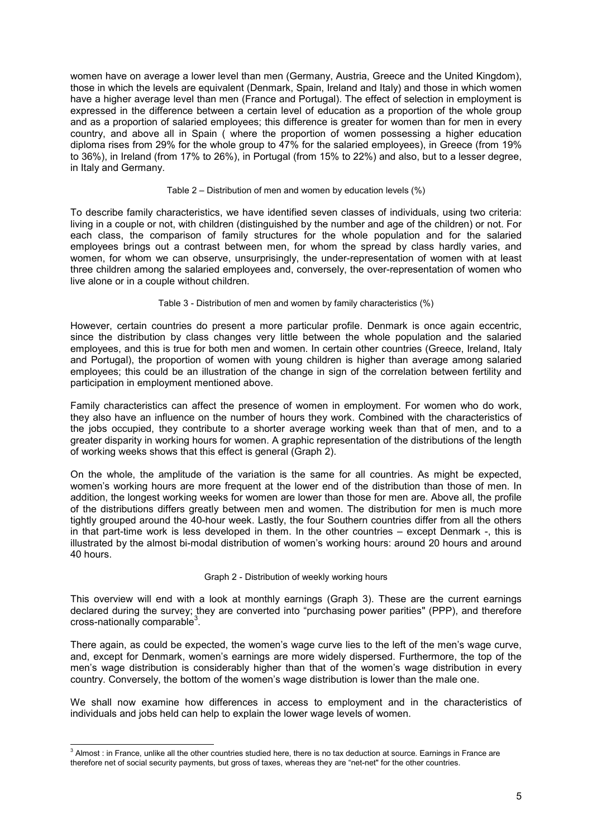women have on average a lower level than men (Germany, Austria, Greece and the United Kingdom), those in which the levels are equivalent (Denmark, Spain, Ireland and Italy) and those in which women have a higher average level than men (France and Portugal). The effect of selection in employment is expressed in the difference between a certain level of education as a proportion of the whole group and as a proportion of salaried employees; this difference is greater for women than for men in every country, and above all in Spain ( where the proportion of women possessing a higher education diploma rises from 29% for the whole group to 47% for the salaried employees), in Greece (from 19% to 36%), in Ireland (from 17% to 26%), in Portugal (from 15% to 22%) and also, but to a lesser degree, in Italy and Germany.

#### Table 2 – Distribution of men and women by education levels (%)

To describe family characteristics, we have identified seven classes of individuals, using two criteria: living in a couple or not, with children (distinguished by the number and age of the children) or not. For each class, the comparison of family structures for the whole population and for the salaried employees brings out a contrast between men, for whom the spread by class hardly varies, and women, for whom we can observe, unsurprisingly, the under-representation of women with at least three children among the salaried employees and, conversely, the over-representation of women who live alone or in a couple without children.

## Table 3 - Distribution of men and women by family characteristics (%)

However, certain countries do present a more particular profile. Denmark is once again eccentric, since the distribution by class changes very little between the whole population and the salaried employees, and this is true for both men and women. In certain other countries (Greece, Ireland, Italy and Portugal), the proportion of women with young children is higher than average among salaried employees; this could be an illustration of the change in sign of the correlation between fertility and participation in employment mentioned above.

Family characteristics can affect the presence of women in employment. For women who do work, they also have an influence on the number of hours they work. Combined with the characteristics of the jobs occupied, they contribute to a shorter average working week than that of men, and to a greater disparity in working hours for women. A graphic representation of the distributions of the length of working weeks shows that this effect is general (Graph 2).

On the whole, the amplitude of the variation is the same for all countries. As might be expected, women's working hours are more frequent at the lower end of the distribution than those of men. In addition, the longest working weeks for women are lower than those for men are. Above all, the profile of the distributions differs greatly between men and women. The distribution for men is much more tightly grouped around the 40-hour week. Lastly, the four Southern countries differ from all the others in that part-time work is less developed in them. In the other countries – except Denmark -, this is illustrated by the almost bi-modal distribution of women's working hours: around 20 hours and around 40 hours.

## Graph 2 - Distribution of weekly working hours

This overview will end with a look at monthly earnings (Graph 3). These are the current earnings declared during the survey; they are converted into "purchasing power parities" (PPP), and therefore cross-nationally comparable<sup>3</sup>.

There again, as could be expected, the women's wage curve lies to the left of the men's wage curve, and, except for Denmark, women's earnings are more widely dispersed. Furthermore, the top of the men's wage distribution is considerably higher than that of the women's wage distribution in every country. Conversely, the bottom of the women's wage distribution is lower than the male one.

We shall now examine how differences in access to employment and in the characteristics of individuals and jobs held can help to explain the lower wage levels of women.

 3 Almost : in France, unlike all the other countries studied here, there is no tax deduction at source. Earnings in France are therefore net of social security payments, but gross of taxes, whereas they are "net-net" for the other countries.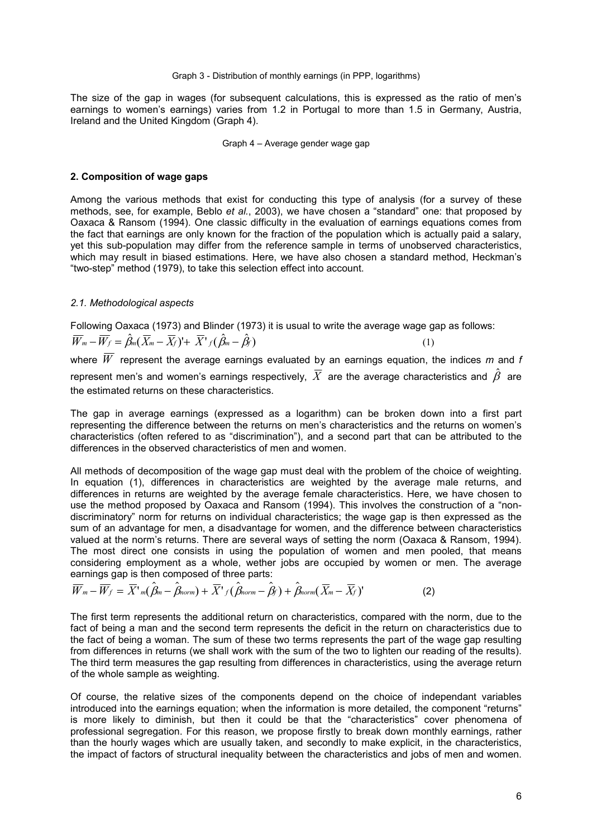#### Graph 3 - Distribution of monthly earnings (in PPP, logarithms)

The size of the gap in wages (for subsequent calculations, this is expressed as the ratio of men's earnings to women's earnings) varies from 1.2 in Portugal to more than 1.5 in Germany, Austria, Ireland and the United Kingdom (Graph 4).

#### Graph 4 – Average gender wage gap

#### **2. Composition of wage gaps**

Among the various methods that exist for conducting this type of analysis (for a survey of these methods, see, for example, Beblo *et al.*, 2003), we have chosen a "standard" one: that proposed by Oaxaca & Ransom (1994). One classic difficulty in the evaluation of earnings equations comes from the fact that earnings are only known for the fraction of the population which is actually paid a salary, yet this sub-population may differ from the reference sample in terms of unobserved characteristics, which may result in biased estimations. Here, we have also chosen a standard method, Heckman's "two-step" method (1979), to take this selection effect into account.

## *2.1. Methodological aspects*

Following Oaxaca (1973) and Blinder (1973) it is usual to write the average wage gap as follows:

 $\overline{W}_m - \overline{W}_f = \hat{\beta}_m (\overline{X}_m - \overline{X}_f)' + \overline{X}'_f (\hat{\beta}_m - \hat{\beta}_f)$  (1) where  $\overline{W}$  represent the average earnings evaluated by an earnings equation, the indices m and f represent men's and women's earnings respectively.  $\bar{X}$  are the average characteristics and  $\hat{\beta}$  are the estimated returns on these characteristics.

The gap in average earnings (expressed as a logarithm) can be broken down into a first part representing the difference between the returns on men's characteristics and the returns on women's characteristics (often refered to as "discrimination"), and a second part that can be attributed to the differences in the observed characteristics of men and women.

All methods of decomposition of the wage gap must deal with the problem of the choice of weighting. In equation (1), differences in characteristics are weighted by the average male returns, and differences in returns are weighted by the average female characteristics. Here, we have chosen to use the method proposed by Oaxaca and Ransom (1994). This involves the construction of a "nondiscriminatory" norm for returns on individual characteristics; the wage gap is then expressed as the sum of an advantage for men, a disadvantage for women, and the difference between characteristics valued at the norm's returns. There are several ways of setting the norm (Oaxaca & Ransom, 1994). The most direct one consists in using the population of women and men pooled, that means considering employment as a whole, wether jobs are occupied by women or men. The average earnings gap is then composed of three parts:

$$
\overline{W}_{m} - \overline{W}_{f} = \overline{X}'_{m}(\hat{\beta}_{m} - \hat{\beta}_{norm}) + \overline{X}'_{f}(\hat{\beta}_{norm} - \hat{\beta}_{f}) + \hat{\beta}_{norm}(\overline{X}_{m} - \overline{X}_{f})'
$$
(2)

The first term represents the additional return on characteristics, compared with the norm, due to the fact of being a man and the second term represents the deficit in the return on characteristics due to the fact of being a woman. The sum of these two terms represents the part of the wage gap resulting from differences in returns (we shall work with the sum of the two to lighten our reading of the results). The third term measures the gap resulting from differences in characteristics, using the average return of the whole sample as weighting.

Of course, the relative sizes of the components depend on the choice of independant variables introduced into the earnings equation; when the information is more detailed, the component "returns" is more likely to diminish, but then it could be that the "characteristics" cover phenomena of professional segregation. For this reason, we propose firstly to break down monthly earnings, rather than the hourly wages which are usually taken, and secondly to make explicit, in the characteristics, the impact of factors of structural inequality between the characteristics and jobs of men and women.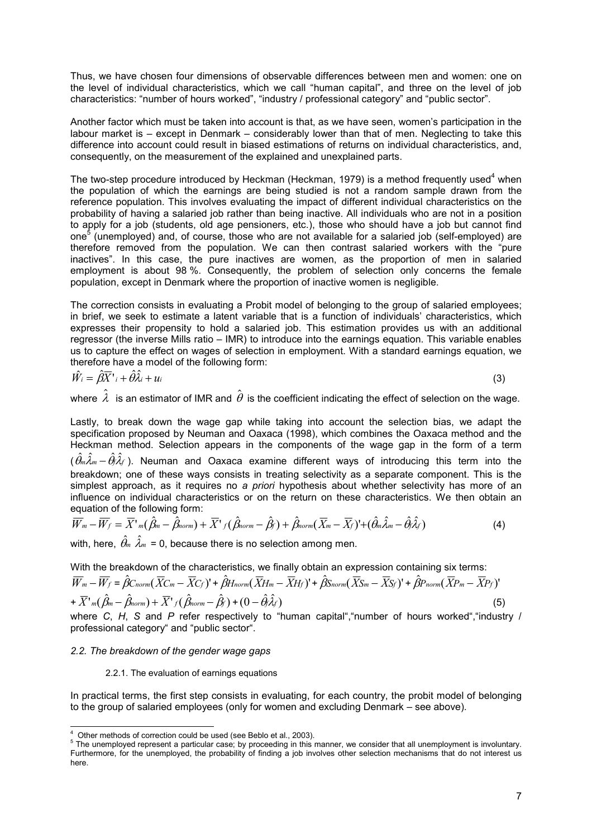Thus, we have chosen four dimensions of observable differences between men and women: one on the level of individual characteristics, which we call "human capital", and three on the level of job characteristics: "number of hours worked", "industry / professional category" and "public sector".

Another factor which must be taken into account is that, as we have seen, women's participation in the labour market is – except in Denmark – considerably lower than that of men. Neglecting to take this difference into account could result in biased estimations of returns on individual characteristics, and, consequently, on the measurement of the explained and unexplained parts.

The two-step procedure introduced by Heckman (Heckman, 1979) is a method frequently used<sup>4</sup> when the population of which the earnings are being studied is not a random sample drawn from the reference population. This involves evaluating the impact of different individual characteristics on the probability of having a salaried job rather than being inactive. All individuals who are not in a position to apply for a job (students, old age pensioners, etc.), those who should have a job but cannot find one<sup>5</sup> (unemployed) and, of course, those who are not available for a salaried job (self-employed) are therefore removed from the population. We can then contrast salaried workers with the "pure inactives". In this case, the pure inactives are women, as the proportion of men in salaried employment is about 98 %. Consequently, the problem of selection only concerns the female population, except in Denmark where the proportion of inactive women is negligible.

The correction consists in evaluating a Probit model of belonging to the group of salaried employees; in brief, we seek to estimate a latent variable that is a function of individuals' characteristics, which expresses their propensity to hold a salaried job. This estimation provides us with an additional regressor (the inverse Mills ratio – IMR) to introduce into the earnings equation. This variable enables us to capture the effect on wages of selection in employment. With a standard earnings equation, we therefore have a model of the following form:

$$
\hat{W}_i = \hat{\beta}\overline{X}^{\dagger} + \hat{\theta}\hat{\lambda}_i + u_i
$$
\n(3)

where  $\,\hat{\lambda}\,$  is an estimator of IMR and  $\,\hat{\theta}\,$  is the coefficient indicating the effect of selection on the wage.

Lastly, to break down the wage gap while taking into account the selection bias, we adapt the specification proposed by Neuman and Oaxaca (1998), which combines the Oaxaca method and the Heckman method. Selection appears in the components of the wage gap in the form of a term  $(\hat{\theta}_m\hat{\lambda}_m-\hat{\theta}_l\hat{\lambda}_f)$ . Neuman and Oaxaca examine different ways of introducing this term into the breakdown; one of these ways consists in treating selectivity as a separate component. This is the simplest approach, as it requires no *a priori* hypothesis about whether selectivity has more of an influence on individual characteristics or on the return on these characteristics. We then obtain an equation of the following form:

$$
\overline{W}_m - \overline{W}_f = \overline{X}^1_m(\hat{\beta}_m - \hat{\beta}_{norm}) + \overline{X}^1_f(\hat{\beta}_{norm} - \hat{\beta}_f) + \hat{\beta}_{norm}(\overline{X}_m - \overline{X}_f)^1 + (\hat{\theta}_m\hat{\lambda}_m - \hat{\theta}_f\hat{\lambda}_f)
$$
(4)

with, here,  $\hat{\theta}_m \hat{\lambda}_m$  = 0, because there is no selection among men.

With the breakdown of the characteristics, we finally obtain an expression containing six terms:

$$
\overline{W}_{m} - \overline{W}_{f} = \hat{\beta}C_{norm}(\overline{X}C_{m} - \overline{X}C_{f})' + \hat{\beta}H_{norm}(\overline{X}H_{m} - \overline{X}H_{f})' + \hat{\beta}S_{norm}(\overline{X}S_{m} - \overline{X}S_{f})' + \hat{\beta}P_{norm}(\overline{X}P_{m} - \overline{X}P_{f})' + \overline{X'}_{m}(\hat{\beta}_{m} - \hat{\beta}_{norm}) + \overline{X'}_{f}(\hat{\beta}_{norm} - \hat{\beta}_{f}) + (0 - \hat{\theta}_{f}\hat{\lambda}_{f})
$$
\n(5)

where *C*, *H*, *S* and *P* refer respectively to "human capital","number of hours worked","industry / professional category" and "public sector".

## *2.2. The breakdown of the gender wage gaps*

## 2.2.1. The evaluation of earnings equations

In practical terms, the first step consists in evaluating, for each country, the probit model of belonging to the group of salaried employees (only for women and excluding Denmark – see above).

 4 Other methods of correction could be used (see Beblo et al., 2003).

 $<sup>5</sup>$  The unemployed represent a particular case; by proceeding in this manner, we consider that all unemployment is involuntary.</sup> Furthermore, for the unemployed, the probability of finding a job involves other selection mechanisms that do not interest us here.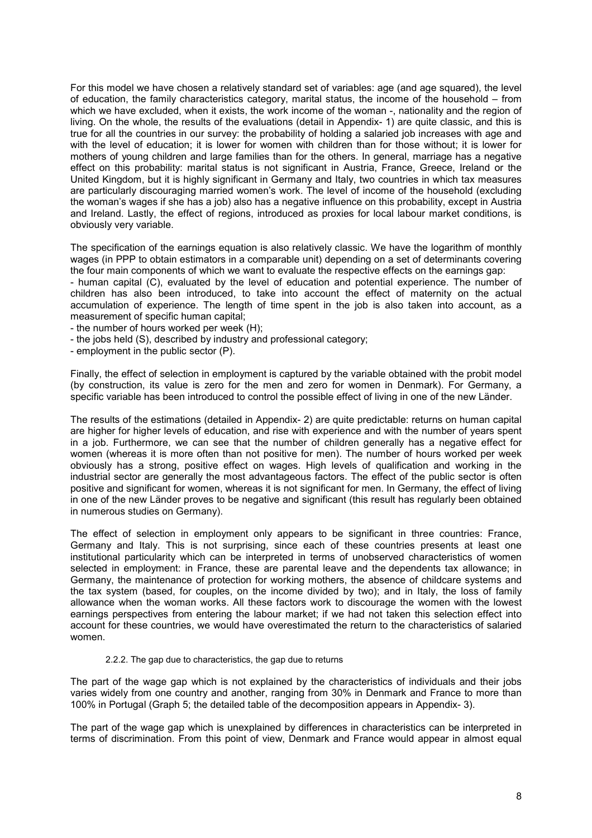For this model we have chosen a relatively standard set of variables: age (and age squared), the level of education, the family characteristics category, marital status, the income of the household – from which we have excluded, when it exists, the work income of the woman -, nationality and the region of living. On the whole, the results of the evaluations (detail in Appendix- 1) are quite classic, and this is true for all the countries in our survey: the probability of holding a salaried job increases with age and with the level of education; it is lower for women with children than for those without; it is lower for mothers of young children and large families than for the others. In general, marriage has a negative effect on this probability: marital status is not significant in Austria, France, Greece, Ireland or the United Kingdom, but it is highly significant in Germany and Italy, two countries in which tax measures are particularly discouraging married women's work. The level of income of the household (excluding the woman's wages if she has a job) also has a negative influence on this probability, except in Austria and Ireland. Lastly, the effect of regions, introduced as proxies for local labour market conditions, is obviously very variable.

The specification of the earnings equation is also relatively classic. We have the logarithm of monthly wages (in PPP to obtain estimators in a comparable unit) depending on a set of determinants covering the four main components of which we want to evaluate the respective effects on the earnings gap:

- human capital (C), evaluated by the level of education and potential experience. The number of children has also been introduced, to take into account the effect of maternity on the actual accumulation of experience. The length of time spent in the job is also taken into account, as a measurement of specific human capital;

- the number of hours worked per week (H);
- the jobs held (S), described by industry and professional category;
- employment in the public sector (P).

Finally, the effect of selection in employment is captured by the variable obtained with the probit model (by construction, its value is zero for the men and zero for women in Denmark). For Germany, a specific variable has been introduced to control the possible effect of living in one of the new Länder.

The results of the estimations (detailed in Appendix- 2) are quite predictable: returns on human capital are higher for higher levels of education, and rise with experience and with the number of years spent in a job. Furthermore, we can see that the number of children generally has a negative effect for women (whereas it is more often than not positive for men). The number of hours worked per week obviously has a strong, positive effect on wages. High levels of qualification and working in the industrial sector are generally the most advantageous factors. The effect of the public sector is often positive and significant for women, whereas it is not significant for men. In Germany, the effect of living in one of the new Länder proves to be negative and significant (this result has regularly been obtained in numerous studies on Germany).

The effect of selection in employment only appears to be significant in three countries: France, Germany and Italy. This is not surprising, since each of these countries presents at least one institutional particularity which can be interpreted in terms of unobserved characteristics of women selected in employment: in France, these are parental leave and the dependents tax allowance; in Germany, the maintenance of protection for working mothers, the absence of childcare systems and the tax system (based, for couples, on the income divided by two); and in Italy, the loss of family allowance when the woman works. All these factors work to discourage the women with the lowest earnings perspectives from entering the labour market; if we had not taken this selection effect into account for these countries, we would have overestimated the return to the characteristics of salaried women.

#### 2.2.2. The gap due to characteristics, the gap due to returns

The part of the wage gap which is not explained by the characteristics of individuals and their jobs varies widely from one country and another, ranging from 30% in Denmark and France to more than 100% in Portugal (Graph 5; the detailed table of the decomposition appears in Appendix- 3).

The part of the wage gap which is unexplained by differences in characteristics can be interpreted in terms of discrimination. From this point of view, Denmark and France would appear in almost equal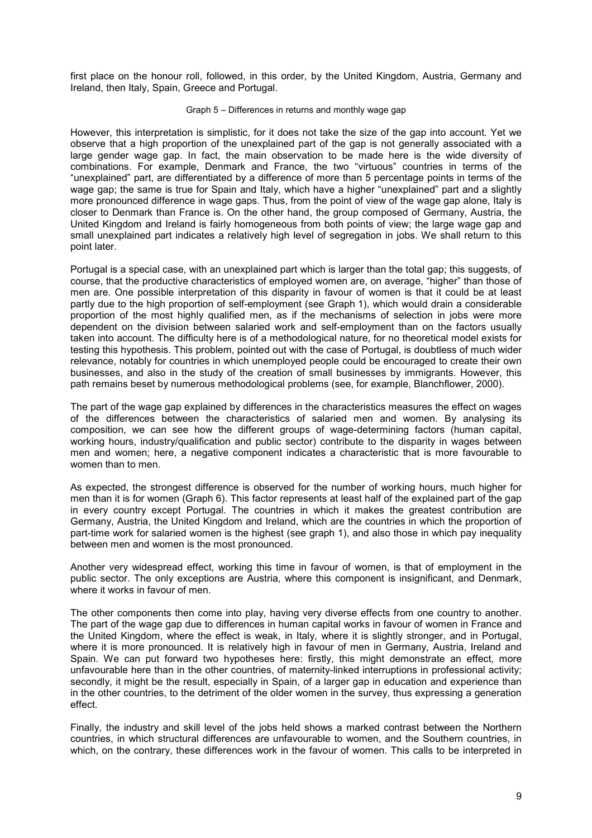first place on the honour roll, followed, in this order, by the United Kingdom, Austria, Germany and Ireland, then Italy, Spain, Greece and Portugal.

#### Graph 5 – Differences in returns and monthly wage gap

However, this interpretation is simplistic, for it does not take the size of the gap into account. Yet we observe that a high proportion of the unexplained part of the gap is not generally associated with a large gender wage gap. In fact, the main observation to be made here is the wide diversity of combinations. For example, Denmark and France, the two "virtuous" countries in terms of the "unexplained" part, are differentiated by a difference of more than 5 percentage points in terms of the wage gap; the same is true for Spain and Italy, which have a higher "unexplained" part and a slightly more pronounced difference in wage gaps. Thus, from the point of view of the wage gap alone, Italy is closer to Denmark than France is. On the other hand, the group composed of Germany, Austria, the United Kingdom and Ireland is fairly homogeneous from both points of view; the large wage gap and small unexplained part indicates a relatively high level of segregation in jobs. We shall return to this point later.

Portugal is a special case, with an unexplained part which is larger than the total gap; this suggests, of course, that the productive characteristics of employed women are, on average, "higher" than those of men are. One possible interpretation of this disparity in favour of women is that it could be at least partly due to the high proportion of self-employment (see Graph 1), which would drain a considerable proportion of the most highly qualified men, as if the mechanisms of selection in jobs were more dependent on the division between salaried work and self-employment than on the factors usually taken into account. The difficulty here is of a methodological nature, for no theoretical model exists for testing this hypothesis. This problem, pointed out with the case of Portugal, is doubtless of much wider relevance, notably for countries in which unemployed people could be encouraged to create their own businesses, and also in the study of the creation of small businesses by immigrants. However, this path remains beset by numerous methodological problems (see, for example, Blanchflower, 2000).

The part of the wage gap explained by differences in the characteristics measures the effect on wages of the differences between the characteristics of salaried men and women. By analysing its composition, we can see how the different groups of wage-determining factors (human capital, working hours, industry/qualification and public sector) contribute to the disparity in wages between men and women; here, a negative component indicates a characteristic that is more favourable to women than to men.

As expected, the strongest difference is observed for the number of working hours, much higher for men than it is for women (Graph 6). This factor represents at least half of the explained part of the gap in every country except Portugal. The countries in which it makes the greatest contribution are Germany, Austria, the United Kingdom and Ireland, which are the countries in which the proportion of part-time work for salaried women is the highest (see graph 1), and also those in which pay inequality between men and women is the most pronounced.

Another very widespread effect, working this time in favour of women, is that of employment in the public sector. The only exceptions are Austria, where this component is insignificant, and Denmark, where it works in favour of men.

The other components then come into play, having very diverse effects from one country to another. The part of the wage gap due to differences in human capital works in favour of women in France and the United Kingdom, where the effect is weak, in Italy, where it is slightly stronger, and in Portugal, where it is more pronounced. It is relatively high in favour of men in Germany, Austria, Ireland and Spain. We can put forward two hypotheses here: firstly, this might demonstrate an effect, more unfavourable here than in the other countries, of maternity-linked interruptions in professional activity; secondly, it might be the result, especially in Spain, of a larger gap in education and experience than in the other countries, to the detriment of the older women in the survey, thus expressing a generation effect.

Finally, the industry and skill level of the jobs held shows a marked contrast between the Northern countries, in which structural differences are unfavourable to women, and the Southern countries, in which, on the contrary, these differences work in the favour of women. This calls to be interpreted in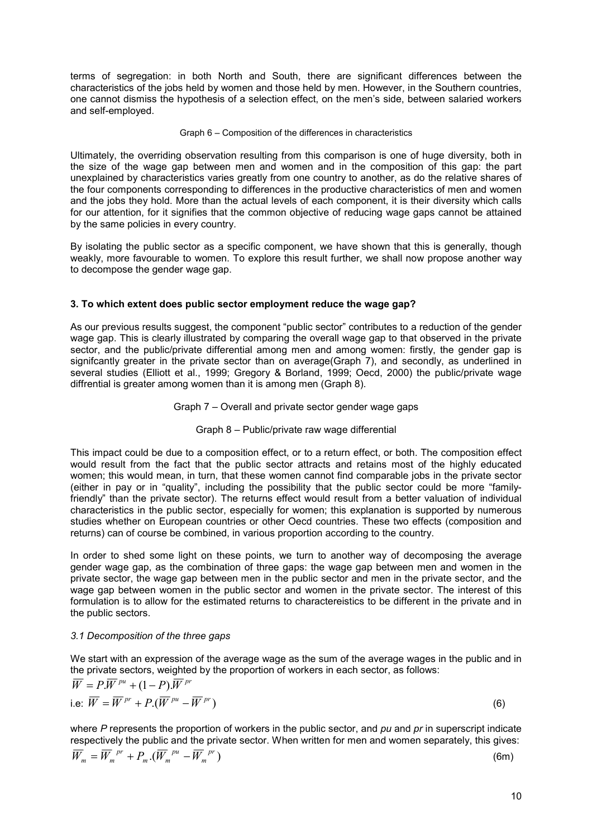terms of segregation: in both North and South, there are significant differences between the characteristics of the jobs held by women and those held by men. However, in the Southern countries, one cannot dismiss the hypothesis of a selection effect, on the men's side, between salaried workers and self-employed.

## Graph 6 – Composition of the differences in characteristics

Ultimately, the overriding observation resulting from this comparison is one of huge diversity, both in the size of the wage gap between men and women and in the composition of this gap: the part unexplained by characteristics varies greatly from one country to another, as do the relative shares of the four components corresponding to differences in the productive characteristics of men and women and the jobs they hold. More than the actual levels of each component, it is their diversity which calls for our attention, for it signifies that the common objective of reducing wage gaps cannot be attained by the same policies in every country.

By isolating the public sector as a specific component, we have shown that this is generally, though weakly, more favourable to women. To explore this result further, we shall now propose another way to decompose the gender wage gap.

## **3. To which extent does public sector employment reduce the wage gap?**

As our previous results suggest, the component "public sector" contributes to a reduction of the gender wage gap. This is clearly illustrated by comparing the overall wage gap to that observed in the private sector, and the public/private differential among men and among women: firstly, the gender gap is signifcantly greater in the private sector than on average(Graph 7), and secondly, as underlined in several studies (Elliott et al., 1999; Gregory & Borland, 1999; Oecd, 2000) the public/private wage diffrential is greater among women than it is among men (Graph 8).

## Graph 7 – Overall and private sector gender wage gaps

## Graph 8 – Public/private raw wage differential

This impact could be due to a composition effect, or to a return effect, or both. The composition effect would result from the fact that the public sector attracts and retains most of the highly educated women; this would mean, in turn, that these women cannot find comparable jobs in the private sector (either in pay or in "quality", including the possibility that the public sector could be more "familyfriendly" than the private sector). The returns effect would result from a better valuation of individual characteristics in the public sector, especially for women; this explanation is supported by numerous studies whether on European countries or other Oecd countries. These two effects (composition and returns) can of course be combined, in various proportion according to the country.

In order to shed some light on these points, we turn to another way of decomposing the average gender wage gap, as the combination of three gaps: the wage gap between men and women in the private sector, the wage gap between men in the public sector and men in the private sector, and the wage gap between women in the public sector and women in the private sector. The interest of this formulation is to allow for the estimated returns to charactereistics to be different in the private and in the public sectors.

## *3.1 Decomposition of the three gaps*

We start with an expression of the average wage as the sum of the average wages in the public and in the private sectors, weighted by the proportion of workers in each sector, as follows:

$$
\overline{W} = P \cdot \overline{W}^{pu} + (1 - P) \cdot \overline{W}^{pr}
$$
  
i.e:  $\overline{W} = \overline{W}^{pr} + P \cdot (\overline{W}^{pu} - \overline{W}^{pr})$  (6)

where *P* represents the proportion of workers in the public sector, and *pu* and *pr* in superscript indicate respectively the public and the private sector. When written for men and women separately, this gives:  $\cdot (\overline{W}_m^{pu} - \overline{W}_m^{pr})$ *pu*  $\overline{W}_m = \overline{W}_m^{\ \ pr} + P_m \cdot (\overline{W}_m^{\ \ pr} - \overline{W}_m^{\ \ pr})$  (6m)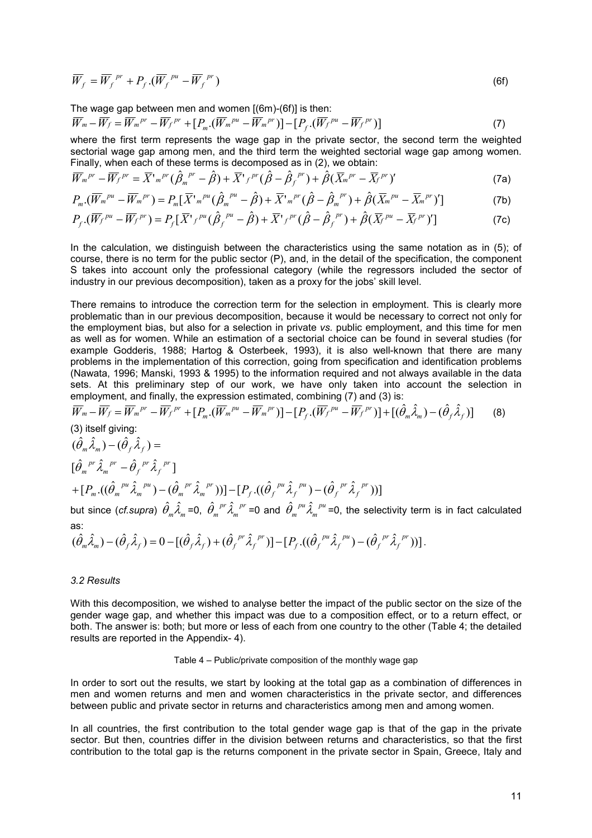$$
\overline{W}_f = \overline{W}_f^{pr} + P_f \cdot (\overline{W}_f^{pu} - \overline{W}_f^{pr})
$$
\n(6f)

The wage gap between men and women [(6m)-(6f)] is then:

$$
\overline{W}_m - \overline{W}_f = \overline{W}_m{}^{pr} - \overline{W}_f{}^{pr} + [P_m \cdot (\overline{W}_m{}^{pu} - \overline{W}_m{}^{pr})] - [P_f \cdot (\overline{W}_f{}^{pu} - \overline{W}_f{}^{pr})]
$$
\n(7)

where the first term represents the wage gap in the private sector, the second term the weighted sectorial wage gap among men, and the third term the weighted sectorial wage gap among women. Finally, when each of these terms is decomposed as in (2), we obtain:

$$
\overline{W}_m{}^{pr} - \overline{W}_f{}^{pr} = \overline{X}{}^{\prime}{}_{m}{}^{pr} (\hat{\beta}_m{}^{pr} - \hat{\beta}) + \overline{X}{}^{\prime}{}_{f}{}^{pr} (\hat{\beta} - \hat{\beta}_f{}^{pr}) + \hat{\beta} (\overline{X}_m{}^{pr} - \overline{X}_f{}^{pr})' \tag{7a}
$$

$$
P_m \cdot (\overline{W}_m{}^{pu} - \overline{W}_m{}^{pr}) = P_m [\overline{X}{}^r{}_m{}^{pu} (\hat{\beta}_m{}^{pu} - \hat{\beta}) + \overline{X}{}^r{}_m{}^{pr} (\hat{\beta} - \hat{\beta}_m{}^{pr}) + \hat{\beta} (\overline{X}_m{}^{pu} - \overline{X}_m{}^{pr})'] \tag{7b}
$$

$$
P_f \cdot (\overline{W_f}^{pu} - \overline{W_f}^{pr}) = P_f [\overline{X}^r f^{pu} (\hat{\beta}_f^{pu} - \hat{\beta}) + \overline{X}^r f^{pr} (\hat{\beta} - \hat{\beta}_f^{pr}) + \hat{\beta} (\overline{X}^{pu} - \overline{X}^{pr})'] \tag{7c}
$$

In the calculation, we distinguish between the characteristics using the same notation as in (5); of course, there is no term for the public sector (P), and, in the detail of the specification, the component S takes into account only the professional category (while the regressors included the sector of industry in our previous decomposition), taken as a proxy for the jobs' skill level.

There remains to introduce the correction term for the selection in employment. This is clearly more problematic than in our previous decomposition, because it would be necessary to correct not only for the employment bias, but also for a selection in private *vs.* public employment, and this time for men as well as for women. While an estimation of a sectorial choice can be found in several studies (for example Godderis, 1988; Hartog & Osterbeek, 1993), it is also well-known that there are many problems in the implementation of this correction, going from specification and identification problems (Nawata, 1996; Manski, 1993 & 1995) to the information required and not always available in the data sets. At this preliminary step of our work, we have only taken into account the selection in employment, and finally, the expression estimated, combining (7) and (3) is:

$$
\overline{W}_{m} - \overline{W}_{f} = \overline{W}_{m}^{pr} - \overline{W}_{f}^{pr} + [P_{m}.(\overline{W}_{m}^{pr} - \overline{W}_{m}^{pr})] - [P_{f}.(\overline{W}_{f}^{pr} - \overline{W}_{f}^{pr})] + [(\hat{\theta}_{m}\hat{\lambda}_{m}) - (\hat{\theta}_{f}\hat{\lambda}_{f})] \qquad (8)
$$
\n(3) itself giving:  
\n
$$
(\hat{\theta}_{m}\hat{\lambda}_{m}) - (\hat{\theta}_{f}\hat{\lambda}_{f}) =
$$
\n
$$
[\hat{\theta}_{m}^{pr}\hat{\lambda}_{m}^{pr} - \hat{\theta}_{f}^{pr}\hat{\lambda}_{f}^{pr}]
$$
\n
$$
+ [P_{m}.((\hat{\theta}_{m}^{pu}\hat{\lambda}_{m}^{pu}) - (\hat{\theta}_{m}^{pr}\hat{\lambda}_{m}^{pr}))] - [P_{f}.((\hat{\theta}_{f}^{pu}\hat{\lambda}_{f}^{pu}) - (\hat{\theta}_{f}^{pr}\hat{\lambda}_{f}^{pr}))]
$$
\nbut since  $(cf. supra)$   $\hat{\theta}_{m}\hat{\lambda}_{m} = 0$ ,  $\hat{\theta}_{m}^{pr}\hat{\lambda}_{m}^{pr} = 0$  and  $\hat{\theta}_{m}^{pu}\hat{\lambda}_{m}^{pv} = 0$ , the selectivity term is in fact calculated as:  
\n $(\hat{\theta}_{m}\hat{\lambda}_{m}) - (\hat{\theta}_{f}\hat{\lambda}_{f}) = 0 - [(\hat{\theta}_{f}\hat{\lambda}_{f}) + (\hat{\theta}_{f}^{pr}\hat{\lambda}_{f}^{pr})] - [P_{f}.((\hat{\theta}_{f}^{pu}\hat{\lambda}_{f}^{pu}) - (\hat{\theta}_{f}^{pr}\hat{\lambda}_{f}^{pr}))].$ 

#### *3.2 Results*

With this decomposition, we wished to analyse better the impact of the public sector on the size of the gender wage gap, and whether this impact was due to a composition effect, or to a return effect, or both. The answer is: both; but more or less of each from one country to the other (Table 4; the detailed results are reported in the Appendix- 4).

## Table 4 – Public/private composition of the monthly wage gap

In order to sort out the results, we start by looking at the total gap as a combination of differences in men and women returns and men and women characteristics in the private sector, and differences between public and private sector in returns and characteristics among men and among women.

In all countries, the first contribution to the total gender wage gap is that of the gap in the private sector. But then, countries differ in the division between returns and characteristics, so that the first contribution to the total gap is the returns component in the private sector in Spain, Greece, Italy and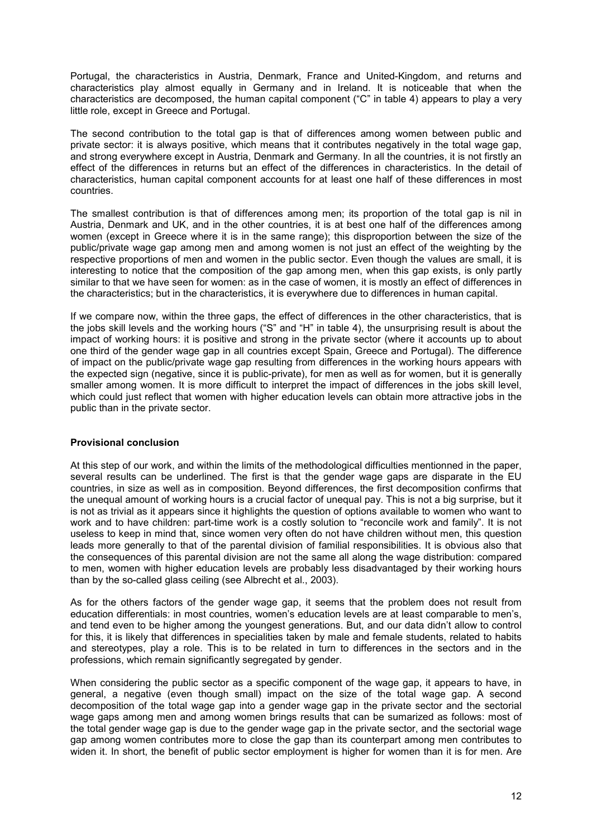Portugal, the characteristics in Austria, Denmark, France and United-Kingdom, and returns and characteristics play almost equally in Germany and in Ireland. It is noticeable that when the characteristics are decomposed, the human capital component ("C" in table 4) appears to play a very little role, except in Greece and Portugal.

The second contribution to the total gap is that of differences among women between public and private sector: it is always positive, which means that it contributes negatively in the total wage gap, and strong everywhere except in Austria, Denmark and Germany. In all the countries, it is not firstly an effect of the differences in returns but an effect of the differences in characteristics. In the detail of characteristics, human capital component accounts for at least one half of these differences in most countries.

The smallest contribution is that of differences among men; its proportion of the total gap is nil in Austria, Denmark and UK, and in the other countries, it is at best one half of the differences among women (except in Greece where it is in the same range); this disproportion between the size of the public/private wage gap among men and among women is not just an effect of the weighting by the respective proportions of men and women in the public sector. Even though the values are small, it is interesting to notice that the composition of the gap among men, when this gap exists, is only partly similar to that we have seen for women: as in the case of women, it is mostly an effect of differences in the characteristics; but in the characteristics, it is everywhere due to differences in human capital.

If we compare now, within the three gaps, the effect of differences in the other characteristics, that is the jobs skill levels and the working hours ("S" and "H" in table 4), the unsurprising result is about the impact of working hours: it is positive and strong in the private sector (where it accounts up to about one third of the gender wage gap in all countries except Spain, Greece and Portugal). The difference of impact on the public/private wage gap resulting from differences in the working hours appears with the expected sign (negative, since it is public-private), for men as well as for women, but it is generally smaller among women. It is more difficult to interpret the impact of differences in the jobs skill level, which could just reflect that women with higher education levels can obtain more attractive jobs in the public than in the private sector.

## **Provisional conclusion**

At this step of our work, and within the limits of the methodological difficulties mentionned in the paper, several results can be underlined. The first is that the gender wage gaps are disparate in the EU countries, in size as well as in composition. Beyond differences, the first decomposition confirms that the unequal amount of working hours is a crucial factor of unequal pay. This is not a big surprise, but it is not as trivial as it appears since it highlights the question of options available to women who want to work and to have children: part-time work is a costly solution to "reconcile work and family". It is not useless to keep in mind that, since women very often do not have children without men, this question leads more generally to that of the parental division of familial responsibilities. It is obvious also that the consequences of this parental division are not the same all along the wage distribution: compared to men, women with higher education levels are probably less disadvantaged by their working hours than by the so-called glass ceiling (see Albrecht et al., 2003).

As for the others factors of the gender wage gap, it seems that the problem does not result from education differentials: in most countries, women's education levels are at least comparable to men's, and tend even to be higher among the youngest generations. But, and our data didn't allow to control for this, it is likely that differences in specialities taken by male and female students, related to habits and stereotypes, play a role. This is to be related in turn to differences in the sectors and in the professions, which remain significantly segregated by gender.

When considering the public sector as a specific component of the wage gap, it appears to have, in general, a negative (even though small) impact on the size of the total wage gap. A second decomposition of the total wage gap into a gender wage gap in the private sector and the sectorial wage gaps among men and among women brings results that can be sumarized as follows: most of the total gender wage gap is due to the gender wage gap in the private sector, and the sectorial wage gap among women contributes more to close the gap than its counterpart among men contributes to widen it. In short, the benefit of public sector employment is higher for women than it is for men. Are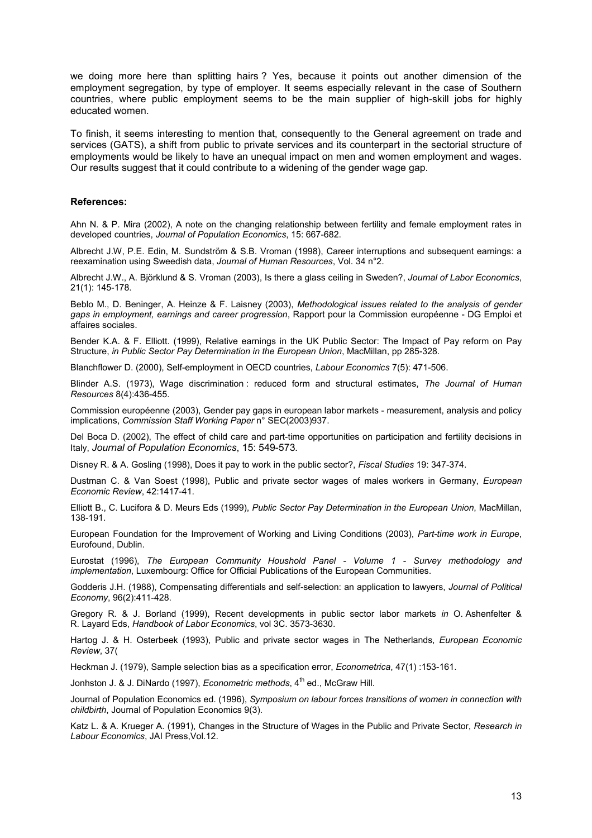we doing more here than splitting hairs ? Yes, because it points out another dimension of the employment segregation, by type of employer. It seems especially relevant in the case of Southern countries, where public employment seems to be the main supplier of high-skill jobs for highly educated women.

To finish, it seems interesting to mention that, consequently to the General agreement on trade and services (GATS), a shift from public to private services and its counterpart in the sectorial structure of employments would be likely to have an unequal impact on men and women employment and wages. Our results suggest that it could contribute to a widening of the gender wage gap.

#### **References:**

Ahn N. & P. Mira (2002), A note on the changing relationship between fertility and female employment rates in developed countries, *Journal of Population Economics*, 15: 667-682.

Albrecht J.W, P.E. Edin, M. Sundström & S.B. Vroman (1998), Career interruptions and subsequent earnings: a reexamination using Sweedish data, *Journal of Human Resources*, Vol. 34 n°2.

Albrecht J.W., A. Björklund & S. Vroman (2003), Is there a glass ceiling in Sweden?, *Journal of Labor Economics*, 21(1): 145-178.

Beblo M., D. Beninger, A. Heinze & F. Laisney (2003), *Methodological issues related to the analysis of gender gaps in employment, earnings and career progression*, Rapport pour la Commission européenne - DG Emploi et affaires sociales.

Bender K.A. & F. Elliott. (1999), Relative earnings in the UK Public Sector: The Impact of Pay reform on Pay Structure, *in Public Sector Pay Determination in the European Union*, MacMillan, pp 285-328.

Blanchflower D. (2000), Self-employment in OECD countries, *Labour Economics* 7(5): 471-506.

Blinder A.S. (1973), Wage discrimination : reduced form and structural estimates, *The Journal of Human Resources* 8(4):436-455.

Commission européenne (2003), Gender pay gaps in european labor markets - measurement, analysis and policy implications, *Commission Staff Working Paper* n° SEC(2003)937.

Del Boca D. (2002), The effect of child care and part-time opportunities on participation and fertility decisions in Italy, *Journal of Population Economics*, 15: 549-573*.* 

Disney R. & A. Gosling (1998), Does it pay to work in the public sector?, *Fiscal Studies* 19: 347-374.

Dustman C. & Van Soest (1998), Public and private sector wages of males workers in Germany, *European Economic Review*, 42:1417-41.

Elliott B., C. Lucifora & D. Meurs Eds (1999), *Public Sector Pay Determination in the European Union*, MacMillan, 138-191.

European Foundation for the Improvement of Working and Living Conditions (2003), *Part-time work in Europe*, Eurofound, Dublin.

Eurostat (1996), *The European Community Houshold Panel - Volume 1 - Survey methodology and implementation*, Luxembourg: Office for Official Publications of the European Communities.

Godderis J.H. (1988), Compensating differentials and self-selection: an application to lawyers, *Journal of Political Economy*, 96(2):411-428.

Gregory R. & J. Borland (1999), Recent developments in public sector labor markets *in* O. Ashenfelter & R. Layard Eds, *Handbook of Labor Economics*, vol 3C. 3573-3630.

Hartog J. & H. Osterbeek (1993), Public and private sector wages in The Netherlands, *European Economic Review*, 37(

Heckman J. (1979), Sample selection bias as a specification error, *Econometrica*, 47(1) :153-161.

Jonhston J. & J. DiNardo (1997), *Econometric methods*, 4<sup>th</sup> ed., McGraw Hill.

Journal of Population Economics ed. (1996), *Symposium on labour forces transitions of women in connection with childbirth*, Journal of Population Economics 9(3).

Katz L. & A. Krueger A. (1991), Changes in the Structure of Wages in the Public and Private Sector, *Research in Labour Economics*, JAI Press,Vol.12.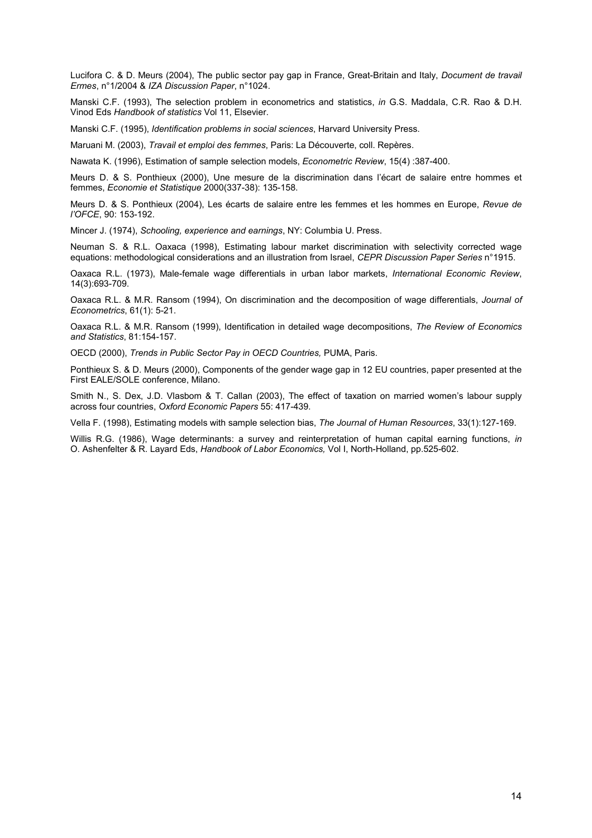Lucifora C. & D. Meurs (2004), The public sector pay gap in France, Great-Britain and Italy, *Document de travail Ermes*, n°1/2004 & *IZA Discussion Paper*, n°1024.

Manski C.F. (1993), The selection problem in econometrics and statistics, *in* G.S. Maddala, C.R. Rao & D.H. Vinod Eds *Handbook of statistics* Vol 11, Elsevier.

Manski C.F. (1995), *Identification problems in social sciences*, Harvard University Press.

Maruani M. (2003), *Travail et emploi des femmes*, Paris: La Découverte, coll. Repères.

Nawata K. (1996), Estimation of sample selection models, *Econometric Review*, 15(4) :387-400.

Meurs D. & S. Ponthieux (2000), Une mesure de la discrimination dans l'écart de salaire entre hommes et femmes, *Economie et Statistique* 2000(337-38): 135-158.

Meurs D. & S. Ponthieux (2004), Les écarts de salaire entre les femmes et les hommes en Europe, *Revue de l'OFCE*, 90: 153-192.

Mincer J. (1974), *Schooling, experience and earnings*, NY: Columbia U. Press.

Neuman S. & R.L. Oaxaca (1998), Estimating labour market discrimination with selectivity corrected wage equations: methodological considerations and an illustration from Israel, *CEPR Discussion Paper Series* n°1915.

Oaxaca R.L. (1973), Male-female wage differentials in urban labor markets, *International Economic Review*, 14(3):693-709.

Oaxaca R.L. & M.R. Ransom (1994), On discrimination and the decomposition of wage differentials, *Journal of Econometrics*, 61(1): 5-21.

Oaxaca R.L. & M.R. Ransom (1999), Identification in detailed wage decompositions, *The Review of Economics and Statistics*, 81:154-157.

OECD (2000), *Trends in Public Sector Pay in OECD Countries,* PUMA, Paris.

Ponthieux S. & D. Meurs (2000), Components of the gender wage gap in 12 EU countries, paper presented at the First EALE/SOLE conference, Milano.

Smith N., S. Dex, J.D. Vlasbom & T. Callan (2003), The effect of taxation on married women's labour supply across four countries, *Oxford Economic Papers* 55: 417-439.

Vella F. (1998), Estimating models with sample selection bias, *The Journal of Human Resources*, 33(1):127-169.

Willis R.G. (1986), Wage determinants: a survey and reinterpretation of human capital earning functions, *in* O. Ashenfelter & R. Layard Eds, *Handbook of Labor Economics,* Vol I, North-Holland, pp.525-602.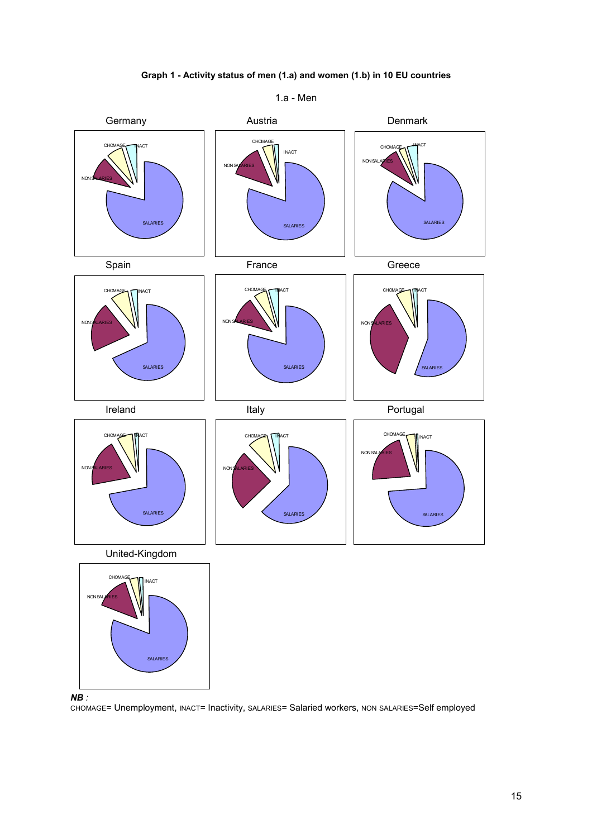

**Graph 1 - Activity status of men (1.a) and women (1.b) in 10 EU countries** 

1.a - Men

 $NB:$ *NB :* 

SALARIES

CHOMAGE= Unemployment, INACT= Inactivity, SALARIES= Salaried workers, NON SALARIES=Self employed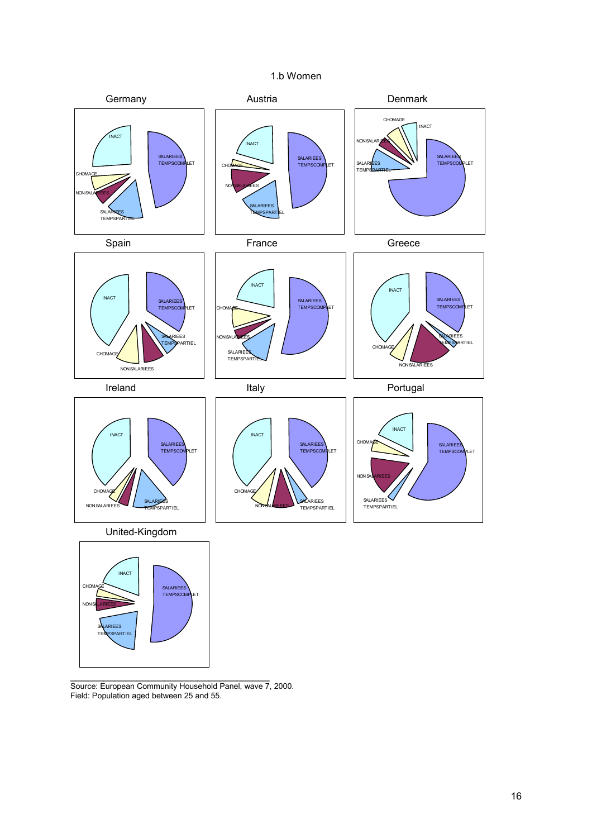



\_\_\_\_\_\_\_\_\_\_\_\_\_\_\_\_\_\_\_\_\_\_\_\_\_\_\_\_\_\_\_\_\_\_\_\_ Source: European Community Household Panel, wave 7, 2000. Field: Population aged between 25 and 55.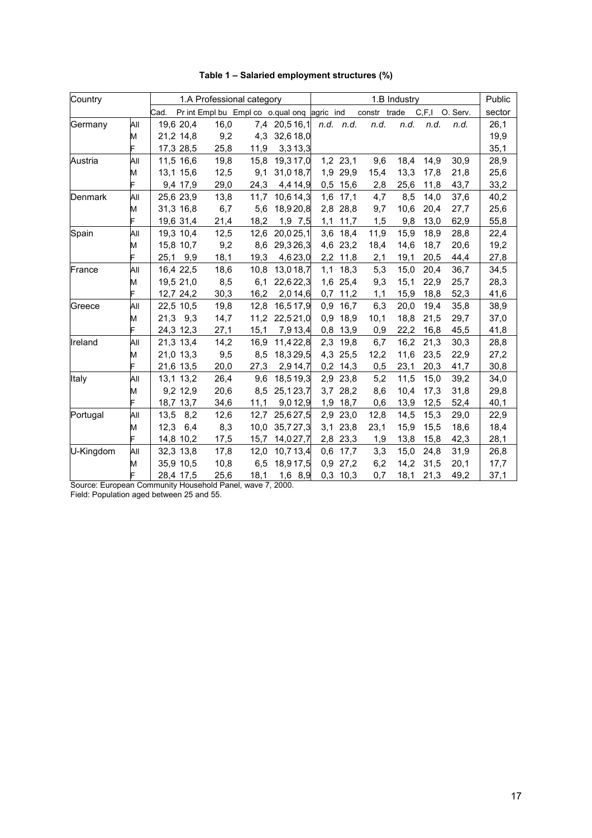| Country   |     |      |           |      | 1.A Professional category |                                             |     |            |              | 1.B Industry |       |          | Public |
|-----------|-----|------|-----------|------|---------------------------|---------------------------------------------|-----|------------|--------------|--------------|-------|----------|--------|
|           |     | Cad. |           |      |                           | Pr int Empl bu Empl co o qual onq agric ind |     |            | constr trade |              | C.F.1 | O. Serv. | sector |
| Germany   | All |      | 19,6 20,4 | 16,0 | 7,4                       | 20,516,1                                    |     | n.d. n.d.  | n.d.         | n.d.         | n.d.  | n.d.     | 26,1   |
|           | M   |      | 21,2 14,8 | 9,2  | 4,3                       | 32,618,0                                    |     |            |              |              |       |          | 19,9   |
|           | F   |      | 17,3 28,5 | 25,8 | 11,9                      | 3,313,3                                     |     |            |              |              |       |          | 35,1   |
| Austria   | All |      | 11,5 16,6 | 19,8 | 15,8                      | 19,317,0                                    |     | 1,2 23,1   | 9,6          | 18,4         | 14,9  | 30,9     | 28,9   |
|           | M   |      | 13,1 15,6 | 12,5 | 9,1                       | 31,018,7                                    |     | 1,9 29,9   | 15,4         | 13,3         | 17,8  | 21,8     | 25,6   |
|           | Ė   |      | 9,4 17,9  | 29,0 | 24,3                      | 4,414,9                                     |     | $0,5$ 15,6 | 2,8          | 25,6         | 11,8  | 43,7     | 33,2   |
| Denmark   | All |      | 25,6 23,9 | 13,8 | 11,7                      | 10,6 14,3                                   | 1,6 | 17,1       | 4,7          | 8,5          | 14,0  | 37,6     | 40,2   |
|           | M   |      | 31,3 16,8 | 6,7  | 5,6                       | 18,920,8                                    |     | 2,8 28,8   | 9,7          | 10,6         | 20,4  | 27,7     | 25,6   |
|           | F   |      | 19,6 31,4 | 21,4 | 18,2                      | $1,9$ 7,5                                   |     | $1,1$ 11,7 | 1,5          | 9,8          | 13,0  | 62,9     | 55,8   |
| Spain     | All |      | 19,3 10,4 | 12,5 | 12,6                      | 20,025,1                                    | 3,6 | 18,4       | 11,9         | 15,9         | 18,9  | 28,8     | 22,4   |
|           | M   |      | 15,8 10,7 | 9,2  | 8,6                       | 29,326,3                                    |     | 4,6 23,2   | 18,4         | 14,6         | 18,7  | 20,6     | 19,2   |
|           |     |      | 25,1 9,9  | 18,1 | 19,3                      | 4,623,0                                     |     | 2,2 11,8   | 2,1          | 19,1         | 20,5  | 44,4     | 27,8   |
| France    | All |      | 16,4 22,5 | 18,6 | 10,8                      | 13,018,7                                    | 1,1 | 18,3       | 5,3          | 15,0         | 20,4  | 36,7     | 34,5   |
|           | M   |      | 19,5 21,0 | 8,5  | 6,1                       | 22,622,3                                    |     | 1,6 25,4   | 9,3          | 15,1         | 22,9  | 25,7     | 28,3   |
|           |     |      | 12,7 24,2 | 30,3 | 16,2                      | 2,014,6                                     |     | $0,7$ 11,2 | 1,1          | 15,9         | 18,8  | 52,3     | 41,6   |
| Greece    | All |      | 22,5 10,5 | 19,8 | 12,8                      | 16,517,9                                    | 0,9 | 16,7       | 6,3          | 20,0         | 19,4  | 35,8     | 38,9   |
|           | M   |      | 21,3 9,3  | 14,7 | 11,2                      | 22,521,0                                    | 0,9 | 18,9       | 10,1         | 18,8         | 21,5  | 29,7     | 37,0   |
|           |     |      | 24,3 12,3 | 27,1 | 15,1                      | 7,913,4                                     | 0,8 | 13,9       | 0,9          | 22,2         | 16,8  | 45,5     | 41,8   |
| Ireland   | All |      | 21.3 13.4 | 14,2 | 16,9                      | 11,422,8                                    | 2,3 | 19,8       | 6,7          | 16,2         | 21,3  | 30,3     | 28,8   |
|           | M   |      | 21,0 13,3 | 9,5  | 8,5                       | 18,329,5                                    | 4,3 | 25,5       | 12,2         | 11,6         | 23,5  | 22,9     | 27,2   |
|           | F   |      | 21,6 13,5 | 20,0 | 27,3                      | 2,914,7                                     |     | $0,2$ 14,3 | 0,5          | 23,1         | 20,3  | 41,7     | 30,8   |
| Italy     | All |      | 13,1 13,2 | 26,4 | 9,6                       | 18,519,3                                    | 2,9 | 23,8       | 5,2          | 11,5         | 15,0  | 39,2     | 34,0   |
|           | M   |      | 9,2 12,9  | 20,6 | 8,5                       | 25, 123, 7                                  |     | 3,7 28,2   | 8,6          | 10,4         | 17,3  | 31,8     | 29,8   |
|           |     |      | 18,7 13,7 | 34,6 | 11,1                      | 9,012,9                                     | 1,9 | 18,7       | 0,6          | 13,9         | 12,5  | 52,4     | 40,1   |
| Portugal  | All | 13,5 | 8,2       | 12,6 | 12,7                      | 25,627,5                                    | 2,9 | 23,0       | 12,8         | 14,5         | 15,3  | 29,0     | 22,9   |
|           | M   | 12,3 | 6,4       | 8,3  | 10,0                      | 35,727,3                                    | 3,1 | 23,8       | 23,1         | 15,9         | 15,5  | 18,6     | 18,4   |
|           | F   |      | 14,8 10,2 | 17,5 | 15,7                      | 14,027,7                                    |     | 2,8 23,3   | 1,9          | 13,8         | 15,8  | 42,3     | 28,1   |
| U-Kingdom | All |      | 32,3 13,8 | 17,8 | 12,0                      | 10,713,4                                    | 0,6 | 17,7       | 3,3          | 15,0         | 24,8  | 31,9     | 26,8   |
|           | M   |      | 35,9 10,5 | 10,8 | 6,5                       | 18,917,5                                    | 0,9 | 27,2       | 6,2          | 14,2         | 31,5  | 20,1     | 17,7   |
|           | F   |      | 28,4 17,5 | 25,6 | 18,1                      | 1,6 8,9                                     |     | $0,3$ 10,3 | 0,7          | 18,1         | 21,3  | 49,2     | 37,1   |

**Table 1 – Salaried employment structures (%)** 

Source: European Community Household Panel, wave 7, 2000.

Field: Population aged between 25 and 55.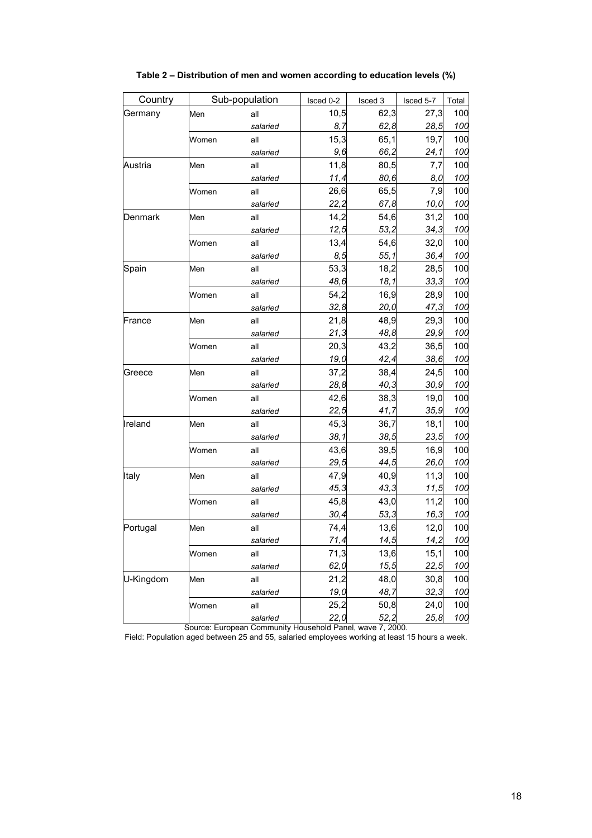| Country   |       | Sub-population |                  | Isced 3 | Isced 5-7 | Total |
|-----------|-------|----------------|------------------|---------|-----------|-------|
| Germany   | Men   | all            | 10,5             | 62,3    | 27,3      | 100   |
|           |       | salaried       | 8,7              | 62,8    | 28,5      | 100   |
|           | Women | all            | 15,3             | 65,1    | 19,7      | 100   |
|           |       | salaried       | 9,6              | 66,2    | 24,1      | 100   |
| Austria   | Men   | all            | 11,8             | 80,5    | 7,7       | 100   |
|           |       | salaried       | 11,4             | 80,6    | 8,0       | 100   |
|           | Women | all            | 26,6             | 65,5    | 7,9       | 100   |
|           |       | salaried       | 22,2             | 67,8    | 10,0      | 100   |
| Denmark   | Men   | all            | 14,2             | 54,6    | 31,2      | 100   |
|           |       | salaried       | 12,5             | 53,2    | 34,3      | 100   |
|           | Women | all            | 13,4             | 54,6    | 32,0      | 100   |
|           |       | salaried       | 8,5              | 55,1    | 36,4      | 100   |
| Spain     | Men   | all            | 53,3             | 18,2    | 28,5      | 100   |
|           |       | salaried       | 48,6             | 18,1    | 33,3      | 100   |
|           | Women | all            | 54,2             | 16,9    | 28,9      | 100   |
|           |       | salaried       | 32,8             | 20,0    | 47,3      | 100   |
| France    | Men   | all            | 21,8             | 48,9    | 29,3      | 100   |
|           |       | salaried       | 21,3             | 48,8    | 29,9      | 100   |
|           | Women | all            | 20,3             | 43,2    | 36,5      | 100   |
|           |       | salaried       | 19,0             | 42,4    | 38,6      | 100   |
| Greece    | Men   | all            | 37,2             | 38,4    | 24,5      | 100   |
|           |       | salaried       | 28,8             | 40,3    | 30,9      | 100   |
|           | Women | all            | 42,6             | 38,3    | 19,0      | 100   |
|           |       | salaried       | 22,5             | 41,7    | 35,9      | 100   |
| Ireland   | Men   | all            | 45,3             | 36,7    | 18,1      | 100   |
|           |       | salaried       | 38,1             | 38,5    | 23,5      | 100   |
|           | Women | all            | 43,6             | 39,5    | 16,9      | 100   |
|           |       | salaried       | 29,5             | 44,5    | 26,0      | 100   |
| Italy     | Men   | all            | 47,9             | 40,9    | 11,3      | 100   |
|           |       | salaried       | 45,3             | 43,3    | 11,5      | 100   |
|           | Women | all            | 45,8             | 43,0    | 11,2      | 100   |
|           |       | salaried       | 30,4             | 53,3    | 16,3      | 100   |
| Portugal  | Men   | all            | 74,4             | 13,6    | 12,0      | 100   |
|           |       | salaried       | 71,4             | 14,5    | 14,2      | 100   |
|           | Women | all            | 71,3             | 13,6    | 15,1      | 100   |
|           |       | salaried       | 62,0             | 15,5    | 22,5      | 100   |
| U-Kingdom | Men   | all            | 21,2             | 48,0    | 30,8      | 100   |
|           |       | salaried       | 19,0             | 48,7    | 32,3      | 100   |
|           | Women | all            | 25,2             | 50,8    | 24,0      | 100   |
|           |       | salaried       | $\frac{22,0}{1}$ | 52,2    | 25,8      | 100   |

**Table 2 – Distribution of men and women according to education levels (%)** 

Source: European Community Household Panel, wave 7, 2000.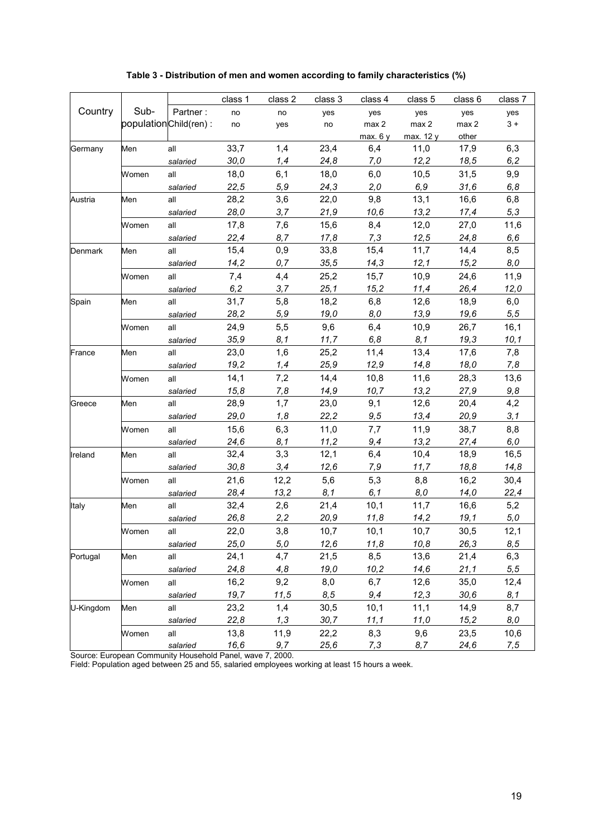|           |       |                       | class 1 | class 2 | class 3 | class 4   | class 5   | class 6 | class 7 |
|-----------|-------|-----------------------|---------|---------|---------|-----------|-----------|---------|---------|
| Country   | Sub-  | Partner:              | no      | no      | yes     | yes       | yes       | yes     | yes     |
|           |       | populationChild(ren): | no      | yes     | no      | max 2     | max 2     | max 2   | $3+$    |
|           |       |                       |         |         |         | max. $6y$ | max. 12 y | other   |         |
| Germany   | Men   | all                   | 33,7    | 1,4     | 23,4    | 6,4       | 11,0      | 17,9    | 6,3     |
|           |       | salaried              | 30,0    | 1,4     | 24,8    | 7,0       | 12,2      | 18,5    | 6,2     |
|           | Women | all                   | 18,0    | 6,1     | 18,0    | 6,0       | 10,5      | 31,5    | 9,9     |
|           |       | salaried              | 22,5    | 5,9     | 24,3    | 2,0       | 6,9       | 31,6    | 6,8     |
| Austria   | Men   | all                   | 28,2    | 3,6     | 22,0    | 9,8       | 13,1      | 16,6    | 6,8     |
|           |       | salaried              | 28,0    | 3,7     | 21,9    | 10,6      | 13,2      | 17,4    | 5,3     |
|           | Women | all                   | 17,8    | 7,6     | 15,6    | 8,4       | 12,0      | 27,0    | 11,6    |
|           |       | salaried              | 22,4    | 8,7     | 17,8    | 7,3       | 12,5      | 24,8    | 6,6     |
| Denmark   | Men   | all                   | 15,4    | 0,9     | 33,8    | 15,4      | 11,7      | 14,4    | 8,5     |
|           |       | salaried              | 14,2    | 0,7     | 35,5    | 14,3      | 12,1      | 15,2    | 8,0     |
|           | Women | all                   | 7,4     | 4,4     | 25,2    | 15,7      | 10,9      | 24,6    | 11,9    |
|           |       | salaried              | 6, 2    | 3,7     | 25,1    | 15,2      | 11,4      | 26,4    | 12,0    |
| Spain     | Men   | all                   | 31,7    | 5,8     | 18,2    | 6,8       | 12,6      | 18,9    | 6,0     |
|           |       | salaried              | 28,2    | 5,9     | 19,0    | 8,0       | 13,9      | 19,6    | 5,5     |
|           | Women | all                   | 24,9    | 5,5     | 9,6     | 6,4       | 10,9      | 26,7    | 16,1    |
|           |       | salaried              | 35,9    | 8,1     | 11.7    | 6,8       | 8,1       | 19,3    | 10,1    |
| France    | Men   | all                   | 23,0    | 1,6     | 25,2    | 11,4      | 13,4      | 17,6    | 7,8     |
|           |       | salaried              | 19,2    | 1,4     | 25,9    | 12,9      | 14,8      | 18,0    | 7,8     |
|           | Women | all                   | 14,1    | 7,2     | 14,4    | 10,8      | 11,6      | 28,3    | 13,6    |
|           |       | salaried              | 15,8    | 7,8     | 14,9    | 10,7      | 13,2      | 27,9    | 9,8     |
| Greece    | Men   | all                   | 28,9    | 1,7     | 23,0    | 9,1       | 12,6      | 20,4    | 4,2     |
|           |       | salaried              | 29,0    | 1,8     | 22,2    | 9,5       | 13,4      | 20,9    | 3,1     |
|           | Women | all                   | 15,6    | 6,3     | 11,0    | 7,7       | 11,9      | 38,7    | 8,8     |
|           |       | salaried              | 24,6    | 8,1     | 11,2    | 9,4       | 13,2      | 27,4    | 6,0     |
| Ireland   | Men   | all                   | 32,4    | 3,3     | 12,1    | 6,4       | 10,4      | 18,9    | 16,5    |
|           |       | salaried              | 30,8    | 3,4     | 12,6    | 7,9       | 11,7      | 18,8    | 14,8    |
|           | Women | all                   | 21,6    | 12,2    | 5,6     | 5,3       | 8,8       | 16,2    | 30,4    |
|           |       | salaried              | 28,4    | 13,2    | 8,1     | 6,1       | 8,0       | 14,0    | 22,4    |
| Italy     | Men   | all                   | 32,4    | 2,6     | 21,4    | 10,1      | 11,7      | 16,6    | 5,2     |
|           |       | salaried              | 26,8    | 2,2     | 20,9    | 11,8      | 14,2      | 19,1    | 5,0     |
|           | Women | all                   | 22,0    | 3,8     | 10,7    | 10,1      | 10,7      | 30,5    | 12,1    |
|           |       | salaried              | 25,0    | 5,0     | 12,6    | 11,8      | 10,8      | 26,3    | 8,5     |
| Portugal  | Men   | all                   | 24,1    | 4,7     | 21,5    | 8,5       | 13,6      | 21,4    | 6,3     |
|           |       | salaried              | 24,8    | 4,8     | 19,0    | 10,2      | 14,6      | 21,1    | 5, 5    |
|           | Women | all                   | 16,2    | 9,2     | 8,0     | 6,7       | 12,6      | 35,0    | 12,4    |
|           |       | salaried              | 19,7    | 11,5    | 8,5     | 9,4       | 12,3      | 30,6    | 8,1     |
| U-Kingdom | Men   | all                   | 23,2    | 1,4     | 30,5    | 10,1      | 11,1      | 14,9    | 8,7     |
|           |       | salaried              | 22,8    | 1,3     | 30,7    | 11,1      | 11,0      | 15,2    | 8,0     |
|           | Women | all                   | 13,8    | 11,9    | 22,2    | 8,3       | 9,6       | 23,5    | 10,6    |
|           |       | salaried              | 16,6    | 9,7     | 25,6    | 7,3       | 8,7       | 24,6    | 7,5     |

## **Table 3 - Distribution of men and women according to family characteristics (%)**

Source: European Community Household Panel, wave 7, 2000.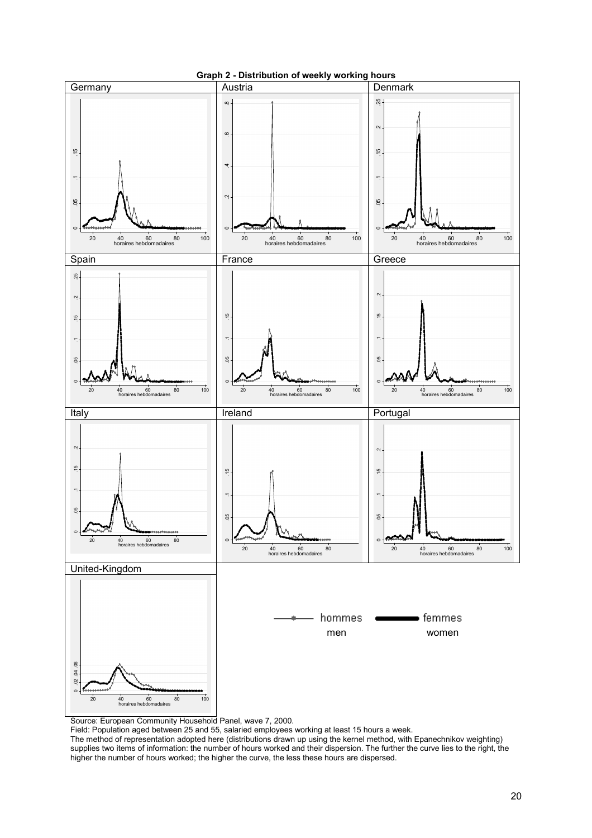

## **Graph 2 - Distribution of weekly working hours**

Source: European Community Household Panel, wave 7, 2000.

Field: Population aged between 25 and 55, salaried employees working at least 15 hours a week.

The method of representation adopted here (distributions drawn up using the kernel method, with Epanechnikov weighting) supplies two items of information: the number of hours worked and their dispersion. The further the curve lies to the right, the higher the number of hours worked; the higher the curve, the less these hours are dispersed.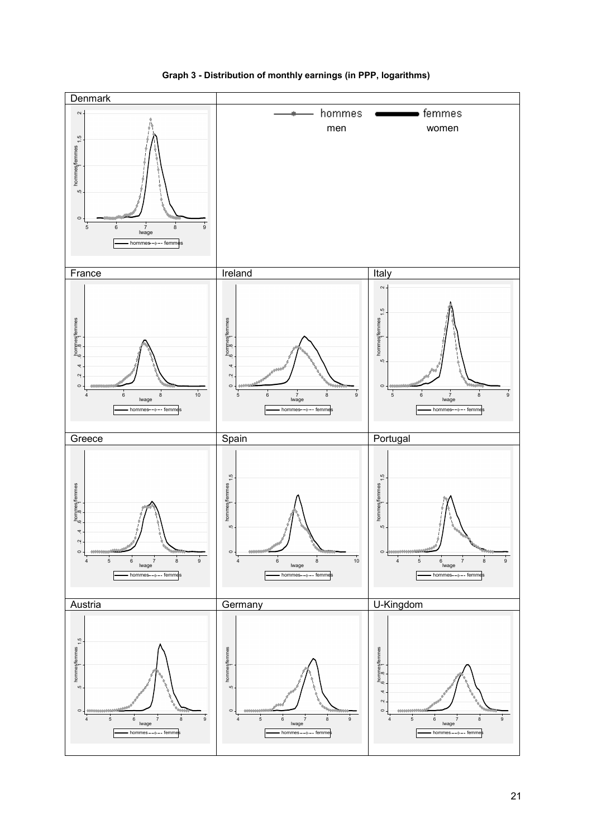

**Graph 3 - Distribution of monthly earnings (in PPP, logarithms)**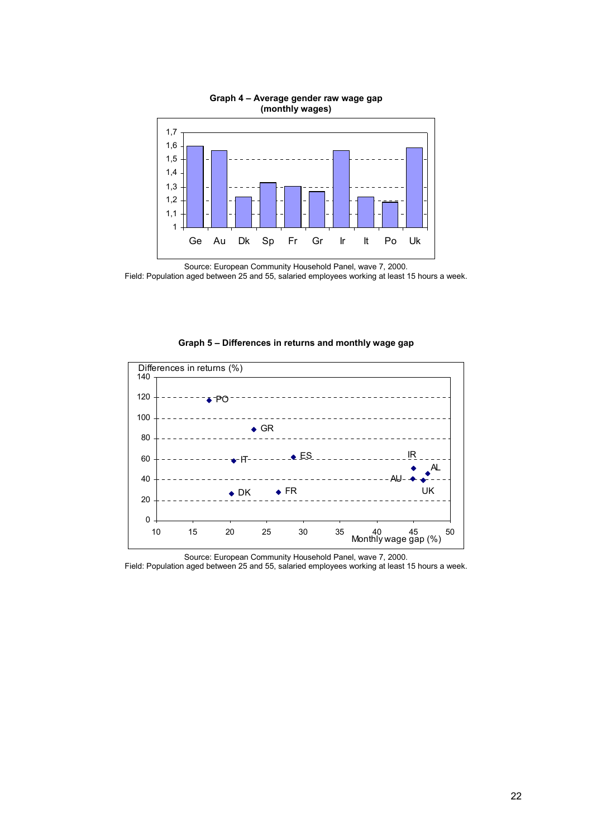

**Graph 4 – Average gender raw wage gap (monthly wages)** 

**Graph 5 – Differences in returns and monthly wage gap** 



Source: European Community Household Panel, wave 7, 2000.

Source: European Community Household Panel, wave 7, 2000. Field: Population aged between 25 and 55, salaried employees working at least 15 hours a week.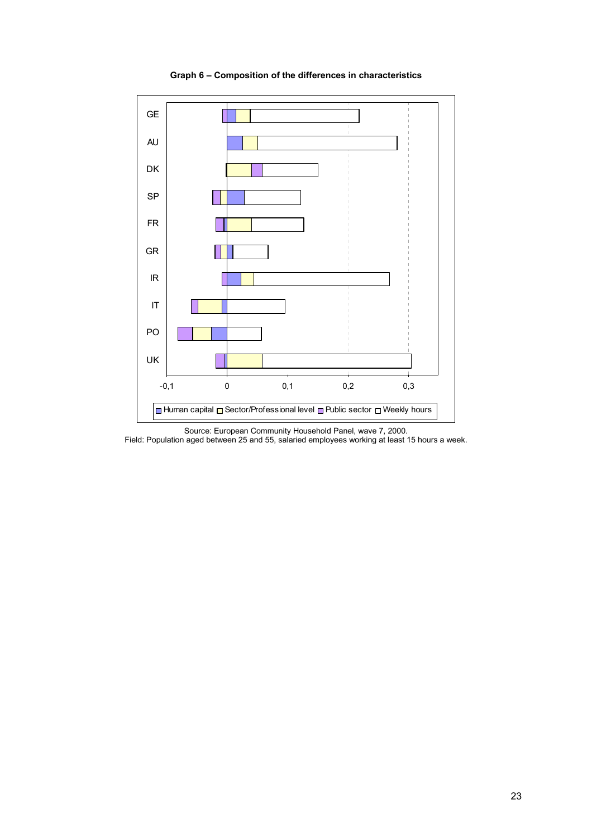

**Graph 6 – Composition of the differences in characteristics** 

Source: European Community Household Panel, wave 7, 2000. Field: Population aged between 25 and 55, salaried employees working at least 15 hours a week.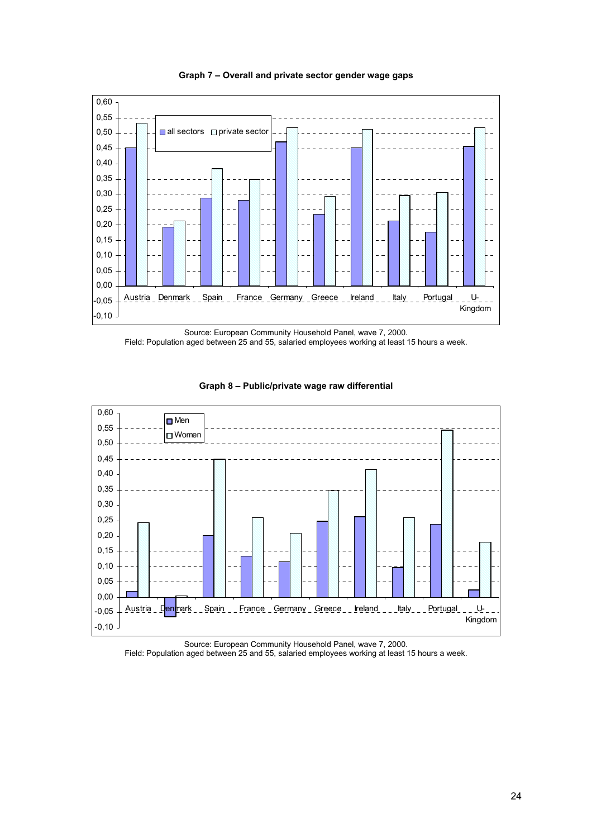

**Graph 7 – Overall and private sector gender wage gaps** 

Source: European Community Household Panel, wave 7, 2000. Field: Population aged between 25 and 55, salaried employees working at least 15 hours a week.





Source: European Community Household Panel, wave 7, 2000. Field: Population aged between 25 and 55, salaried employees working at least 15 hours a week.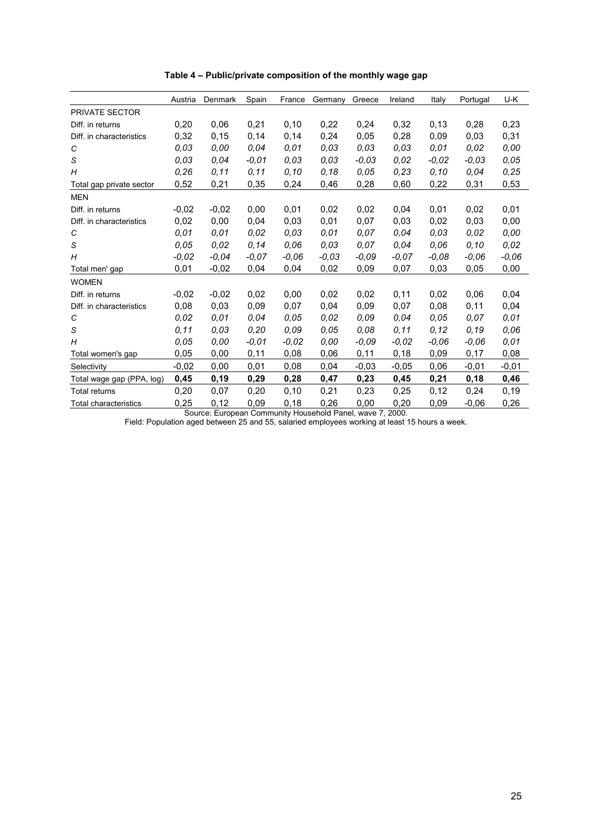|                           | Austria | Denmark | Spain   | France  | Germany | Greece  | Ireland | Italy   | Portugal | U-K     |
|---------------------------|---------|---------|---------|---------|---------|---------|---------|---------|----------|---------|
| <b>PRIVATE SECTOR</b>     |         |         |         |         |         |         |         |         |          |         |
| Diff. in returns          | 0,20    | 0,06    | 0,21    | 0, 10   | 0,22    | 0,24    | 0,32    | 0,13    | 0,28     | 0,23    |
| Diff. in characteristics  | 0,32    | 0,15    | 0,14    | 0,14    | 0,24    | 0.05    | 0,28    | 0.09    | 0,03     | 0,31    |
| С                         | 0,03    | 0.00    | 0.04    | 0.01    | 0.03    | 0.03    | 0.03    | 0.01    | 0.02     | 0.00    |
| S                         | 0.03    | 0.04    | $-0.01$ | 0.03    | 0.03    | $-0.03$ | 0,02    | $-0.02$ | $-0.03$  | 0.05    |
| H                         | 0,26    | 0, 11   | 0, 11   | 0.10    | 0,18    | 0.05    | 0,23    | 0,10    | 0.04     | 0,25    |
| Total gap private sector  | 0,52    | 0,21    | 0,35    | 0,24    | 0,46    | 0,28    | 0,60    | 0,22    | 0,31     | 0,53    |
| <b>MEN</b>                |         |         |         |         |         |         |         |         |          |         |
| Diff. in returns          | $-0.02$ | $-0.02$ | 0,00    | 0,01    | 0,02    | 0,02    | 0,04    | 0,01    | 0,02     | 0,01    |
| Diff. in characteristics  | 0,02    | 0,00    | 0.04    | 0,03    | 0,01    | 0,07    | 0,03    | 0,02    | 0,03     | 0,00    |
| C                         | 0.01    | 0.01    | 0.02    | 0.03    | 0.01    | 0.07    | 0.04    | 0.03    | 0.02     | 0.00    |
| S                         | 0.05    | 0.02    | 0.14    | 0,06    | 0.03    | 0.07    | 0.04    | 0.06    | 0.10     | 0,02    |
| Н                         | $-0.02$ | $-0.04$ | $-0.07$ | $-0.06$ | $-0.03$ | $-0.09$ | -0.07   | $-0.08$ | $-0.06$  | $-0.06$ |
| Total men' gap            | 0,01    | $-0,02$ | 0,04    | 0,04    | 0,02    | 0.09    | 0,07    | 0,03    | 0,05     | 0,00    |
| <b>WOMEN</b>              |         |         |         |         |         |         |         |         |          |         |
| Diff. in returns          | $-0.02$ | $-0.02$ | 0,02    | 0,00    | 0,02    | 0,02    | 0,11    | 0,02    | 0.06     | 0,04    |
| Diff. in characteristics  | 0.08    | 0.03    | 0,09    | 0,07    | 0,04    | 0,09    | 0,07    | 0.08    | 0,11     | 0,04    |
| С                         | 0.02    | 0.01    | 0.04    | 0,05    | 0,02    | 0.09    | 0,04    | 0,05    | 0.07     | 0,01    |
| S                         | 0.11    | 0,03    | 0,20    | 0,09    | 0,05    | 0,08    | 0, 11   | 0, 12   | 0, 19    | 0,06    |
| Н                         | 0.05    | 0.00    | $-0,01$ | $-0.02$ | 0.00    | -0.09   | $-0.02$ | $-0.06$ | $-0.06$  | 0.01    |
| Total women's gap         | 0,05    | 0,00    | 0,11    | 0,08    | 0,06    | 0,11    | 0,18    | 0,09    | 0,17     | 0,08    |
| Selectivity               | $-0,02$ | 0,00    | 0,01    | 0,08    | 0,04    | $-0,03$ | $-0,05$ | 0,06    | $-0,01$  | $-0,01$ |
| Total wage gap (PPA, log) | 0,45    | 0, 19   | 0,29    | 0,28    | 0,47    | 0,23    | 0,45    | 0,21    | 0,18     | 0,46    |
| <b>Total returns</b>      | 0,20    | 0,07    | 0,20    | 0,10    | 0,21    | 0,23    | 0,25    | 0,12    | 0,24     | 0,19    |
| Total characteristics     | 0.25    | 0,12    | 0.09    | 0,18    | 0,26    | 0,00    | 0,20    | 0.09    | $-0.06$  | 0,26    |

**Table 4 – Public/private composition of the monthly wage gap** 

Source: European Community Household Panel, wave 7, 2000.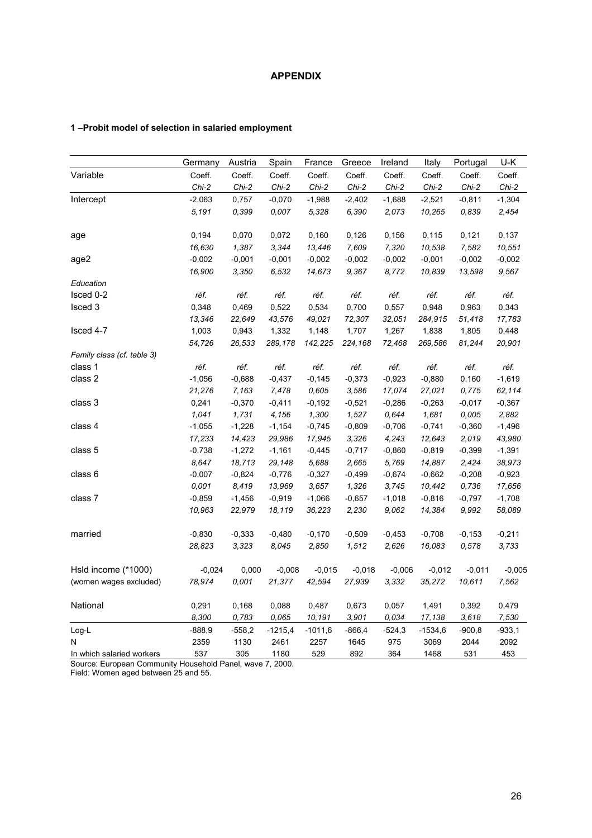## **APPENDIX**

## **1 –Probit model of selection in salaried employment**

|                            | Germany  | Austria  | Spain     | France    | Greece   | Ireland  | Italy     | Portugal | U-K      |
|----------------------------|----------|----------|-----------|-----------|----------|----------|-----------|----------|----------|
| Variable                   | Coeff.   | Coeff.   | Coeff.    | Coeff.    | Coeff.   | Coeff.   | Coeff.    | Coeff.   | Coeff.   |
|                            | $Chi-2$  | $Chi-2$  | $Chi-2$   | $Chi-2$   | $Chi-2$  | $Chi-2$  | $Chi-2$   | $Chi-2$  | $Chi-2$  |
| Intercept                  | $-2,063$ | 0,757    | $-0,070$  | $-1,988$  | $-2,402$ | $-1,688$ | $-2,521$  | $-0,811$ | $-1,304$ |
|                            | 5,191    | 0,399    | 0.007     | 5,328     | 6,390    | 2,073    | 10,265    | 0.839    | 2,454    |
| age                        | 0,194    | 0,070    | 0,072     | 0,160     | 0,126    | 0,156    | 0,115     | 0,121    | 0,137    |
|                            | 16,630   | 1,387    | 3,344     | 13,446    | 7,609    | 7,320    | 10,538    | 7,582    | 10,551   |
| age2                       | $-0,002$ | $-0,001$ | $-0,001$  | $-0,002$  | $-0,002$ | $-0,002$ | $-0,001$  | $-0,002$ | $-0,002$ |
|                            | 16,900   | 3,350    | 6,532     | 14,673    | 9,367    | 8,772    | 10,839    | 13,598   | 9,567    |
| Education                  |          |          |           |           |          |          |           |          |          |
| Isced 0-2                  | réf.     | réf.     | réf.      | réf.      | réf.     | réf.     | réf.      | réf.     | réf.     |
| Isced 3                    | 0,348    | 0,469    | 0,522     | 0,534     | 0,700    | 0,557    | 0,948     | 0,963    | 0,343    |
|                            | 13,346   | 22,649   | 43,576    | 49,021    | 72,307   | 32,051   | 284,915   | 51,418   | 17,783   |
| Isced 4-7                  | 1,003    | 0,943    | 1,332     | 1,148     | 1,707    | 1,267    | 1,838     | 1,805    | 0,448    |
|                            | 54,726   | 26,533   | 289,178   | 142,225   | 224,168  | 72,468   | 269,586   | 81,244   | 20,901   |
| Family class (cf. table 3) |          |          |           |           |          |          |           |          |          |
| class 1                    | réf.     | réf.     | réf.      | réf.      | réf.     | réf.     | réf.      | réf.     | réf.     |
| class 2                    | $-1,056$ | $-0,688$ | $-0,437$  | $-0,145$  | $-0,373$ | $-0,923$ | $-0,880$  | 0,160    | $-1,619$ |
|                            | 21,276   | 7,163    | 7,478     | 0,605     | 3,586    | 17,074   | 27,021    | 0,775    | 62,114   |
| class 3                    | 0,241    | $-0,370$ | $-0,411$  | $-0,192$  | $-0,521$ | $-0,286$ | $-0,263$  | $-0,017$ | $-0,367$ |
|                            | 1,041    | 1,731    | 4,156     | 1,300     | 1,527    | 0,644    | 1,681     | 0,005    | 2,882    |
| class 4                    | $-1,055$ | $-1,228$ | $-1,154$  | $-0,745$  | $-0,809$ | $-0,706$ | $-0,741$  | $-0,360$ | $-1,496$ |
|                            | 17,233   | 14,423   | 29,986    | 17,945    | 3,326    | 4,243    | 12,643    | 2,019    | 43,980   |
| class 5                    | $-0,738$ | $-1,272$ | $-1,161$  | $-0,445$  | $-0,717$ | $-0,860$ | $-0,819$  | $-0,399$ | $-1,391$ |
|                            | 8,647    | 18,713   | 29,148    | 5,688     | 2,665    | 5,769    | 14,887    | 2,424    | 38,973   |
| class 6                    | $-0,007$ | $-0,824$ | $-0,776$  | $-0,327$  | $-0,499$ | $-0,674$ | $-0,662$  | $-0,208$ | $-0,923$ |
|                            | 0,001    | 8,419    | 13,969    | 3,657     | 1,326    | 3,745    | 10,442    | 0,736    | 17,656   |
| class 7                    | $-0,859$ | $-1,456$ | $-0,919$  | $-1,066$  | $-0,657$ | $-1,018$ | $-0,816$  | $-0,797$ | $-1,708$ |
|                            | 10,963   | 22,979   | 18,119    | 36,223    | 2,230    | 9,062    | 14,384    | 9,992    | 58,089   |
| married                    | $-0,830$ | $-0,333$ | $-0,480$  | $-0,170$  | $-0,509$ | $-0,453$ | $-0,708$  | $-0,153$ | $-0,211$ |
|                            | 28,823   | 3,323    | 8,045     | 2,850     | 1,512    | 2,626    | 16,083    | 0,578    | 3,733    |
| Hsld income (*1000)        | $-0,024$ | 0,000    | $-0,008$  | $-0,015$  | $-0,018$ | $-0,006$ | $-0,012$  | $-0,011$ | $-0,005$ |
| (women wages excluded)     | 78,974   | 0,001    | 21,377    | 42,594    | 27,939   | 3,332    | 35,272    | 10,611   | 7,562    |
| National                   | 0,291    | 0,168    | 0,088     | 0,487     | 0,673    | 0,057    | 1,491     | 0,392    | 0,479    |
|                            | 8,300    | 0,783    | 0,065     | 10,191    | 3,901    | 0,034    | 17,138    | 3,618    | 7,530    |
| Log-L                      | $-888,9$ | $-558,2$ | $-1215,4$ | $-1011,6$ | $-866,4$ | $-524,3$ | $-1534,6$ | $-900,8$ | $-933,1$ |
| N                          | 2359     | 1130     | 2461      | 2257      | 1645     | 975      | 3069      | 2044     | 2092     |
| In which salaried workers  | 537      | 305      | 1180      | 529       | 892      | 364      | 1468      | 531      | 453      |

Source: European Community Household Panel, wave 7, 2000. Field: Women aged between 25 and 55.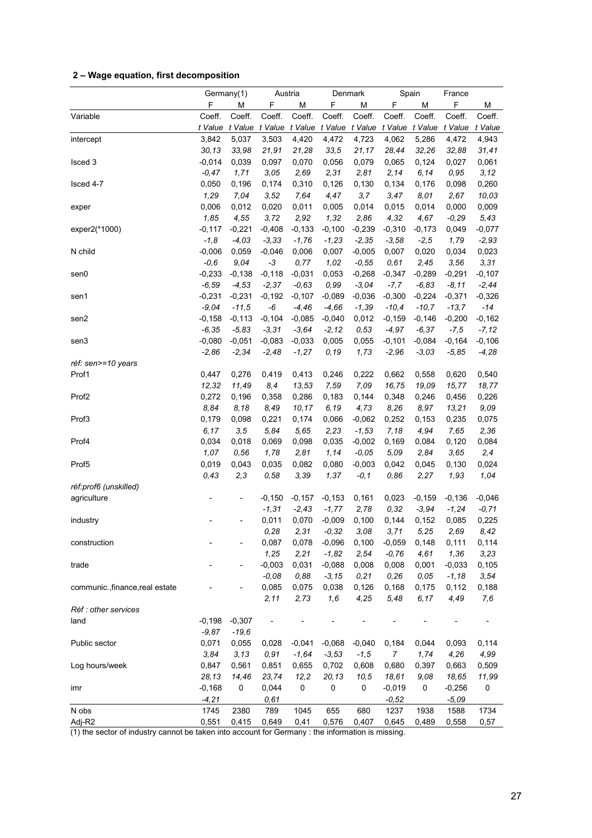# **2 – Wage equation, first decomposition**

|                                 |          | Germany(1)<br>Austria |          | Denmark  |          | Spain    |                | France   |          |          |
|---------------------------------|----------|-----------------------|----------|----------|----------|----------|----------------|----------|----------|----------|
|                                 | F        | М                     | F        | М        | F        | М        | F              | M        | F        | М        |
| Variable                        | Coeff.   | Coeff.                | Coeff.   | Coeff.   | Coeff.   | Coeff.   | Coeff.         | Coeff.   | Coeff.   | Coeff.   |
|                                 | t Value  | t Value               | t Value  | t Value  | t Value  | t Value  | t Value        | t Value  | t Value  | t Value  |
| intercept                       | 3,842    | 5,037                 | 3,503    | 4,420    | 4,472    | 4,723    | 4,062          | 5,286    | 4,472    | 4,943    |
|                                 | 30, 13   | 33,98                 | 21,91    | 21,28    | 33,5     | 21,17    | 28,44          | 32,26    | 32,88    | 31,41    |
| Isced <sub>3</sub>              | $-0,014$ | 0,039                 | 0,097    | 0,070    | 0,056    | 0,079    | 0,065          | 0,124    | 0,027    | 0,061    |
|                                 | $-0,47$  | 1,71                  | 3,05     | 2,69     | 2,31     | 2,81     | 2,14           | 6,14     | 0,95     | 3,12     |
| Isced 4-7                       | 0,050    | 0,196                 | 0,174    | 0,310    | 0,126    | 0,130    | 0,134          | 0,176    | 0,098    | 0,260    |
|                                 | 1,29     | 7,04                  | 3,52     | 7,64     | 4,47     | 3,7      | 3,47           | 8,01     | 2,67     | 10,03    |
| exper                           | 0,006    | 0,012                 | 0,020    | 0,011    | 0,005    | 0,014    | 0,015          | 0,014    | 0,000    | 0,009    |
|                                 | 1,85     | 4,55                  | 3,72     | 2,92     | 1,32     | 2,86     | 4,32           | 4,67     | $-0,29$  | 5,43     |
| exper2(*1000)                   | $-0,117$ | $-0,221$              | $-0,408$ | $-0,133$ | $-0,100$ | $-0,239$ | $-0,310$       | $-0,173$ | 0,049    | $-0,077$ |
|                                 | $-1, 8$  | $-4,03$               | $-3,33$  | $-1,76$  | $-1,23$  | $-2,35$  | $-3,58$        | $-2,5$   | 1,79     | $-2,93$  |
| N child                         | $-0,006$ | 0,059                 | $-0,046$ | 0,006    | 0,007    | $-0,005$ | 0,007          | 0,020    | 0,034    | 0,023    |
|                                 | $-0,6$   | 9,04                  | $-3$     | 0,77     | 1,02     | $-0,55$  | 0,61           | 2,45     | 3,56     | 3,31     |
| sen0                            | $-0,233$ | $-0,138$              | $-0,118$ | $-0,031$ | 0,053    | $-0,268$ | $-0,347$       | $-0,289$ | $-0,291$ | $-0,107$ |
|                                 | $-6,59$  | $-4,53$               | $-2,37$  | $-0,63$  | 0,99     | $-3,04$  | $-7,7$         | $-6,83$  | $-8, 11$ | $-2,44$  |
| sen1                            | $-0,231$ | $-0,231$              | $-0,192$ | $-0,107$ | $-0,089$ | $-0,036$ | $-0,300$       | $-0,224$ | $-0,371$ | $-0,326$ |
|                                 | $-9,04$  | $-11,5$               | -6       | $-4,46$  | $-4,66$  | $-1,39$  | $-10,4$        | $-10,7$  | $-13,7$  | $-14$    |
| sen2                            | $-0,158$ | $-0,113$              | $-0,104$ | $-0,085$ | $-0,040$ | 0,012    | $-0,159$       | $-0,146$ | $-0,200$ | $-0,162$ |
|                                 | $-6,35$  | $-5,83$               | $-3,31$  | $-3,64$  | $-2, 12$ | 0,53     | $-4,97$        | $-6,37$  | $-7,5$   | $-7,12$  |
| sen3                            | $-0,080$ | $-0,051$              | $-0,083$ | $-0,033$ | 0,005    | 0,055    | $-0,101$       | $-0,084$ | $-0,164$ | $-0,106$ |
|                                 | $-2,86$  | $-2,34$               | $-2,48$  | $-1,27$  | 0,19     | 1,73     | $-2,96$        | $-3,03$  | $-5,85$  | $-4,28$  |
| réf: sen>=10 years              |          |                       |          |          |          |          |                |          |          |          |
| Prof1                           | 0,447    | 0,276                 | 0,419    | 0,413    | 0,246    | 0,222    | 0,662          | 0,558    | 0,620    | 0,540    |
|                                 | 12,32    | 11,49                 | 8,4      | 13,53    | 7,59     | 7,09     | 16,75          | 19,09    | 15,77    | 18,77    |
| Prof <sub>2</sub>               | 0,272    | 0,196                 | 0,358    | 0,286    | 0,183    | 0,144    | 0,348          | 0,246    | 0,456    | 0,226    |
|                                 | 8,84     | 8,18                  | 8,49     | 10, 17   | 6,19     | 4,73     | 8,26           | 8,97     | 13,21    | 9,09     |
| Prof3                           | 0,179    | 0,098                 | 0,221    | 0,174    | 0,066    | $-0,062$ | 0,252          | 0,153    | 0,235    | 0,075    |
|                                 | 6, 17    | 3, 5                  | 5,84     | 5,65     | 2,23     | $-1,53$  | 7,18           | 4,94     | 7,65     | 2,36     |
| Prof4                           | 0,034    | 0,018                 | 0,069    | 0,098    | 0,035    | $-0,002$ | 0,169          | 0,084    | 0,120    | 0,084    |
|                                 | 1,07     | 0,56                  | 1,78     | 2,81     | 1,14     | $-0,05$  | 5,09           | 2,84     | 3,65     | 2,4      |
| Prof <sub>5</sub>               | 0,019    | 0,043                 | 0,035    | 0,082    | 0,080    | $-0,003$ | 0,042          | 0,045    | 0,130    | 0,024    |
|                                 | 0,43     | 2,3                   | 0,58     | 3,39     | 1,37     | $-0, 1$  | 0,86           | 2,27     | 1,93     | 1,04     |
| réf:prof6 (unskilled)           |          |                       |          |          |          |          |                |          |          |          |
| agriculture                     |          |                       | $-0,150$ | $-0,157$ | $-0,153$ | 0,161    | 0,023          | $-0,159$ | $-0,136$ | $-0,046$ |
|                                 |          |                       | $-1,31$  | $-2,43$  | $-1,77$  | 2,78     | 0,32           | $-3,94$  | $-1,24$  | $-0,71$  |
| industry                        |          |                       | 0,011    | 0,070    | $-0,009$ | 0,100    | 0,144          | 0,152    | 0,085    | 0,225    |
|                                 |          |                       | 0,28     | 2,31     | $-0,32$  | 3,08     | 3,71           | 5,25     | 2,69     | 8,42     |
| construction                    |          |                       | 0,087    | 0,078    | $-0,096$ | 0,100    | $-0,059$       | 0,148    | 0,111    | 0,114    |
|                                 |          |                       | 1,25     | 2,21     | $-1,82$  | 2,54     | $-0,76$        | 4,61     | 1,36     | 3,23     |
| trade                           |          |                       | $-0,003$ | 0,031    | $-0,088$ | 0,008    | 0,008          | 0,001    | $-0,033$ | 0,105    |
|                                 |          |                       | $-0,08$  | 0,88     | $-3,15$  | 0,21     | 0,26           | 0,05     | $-1,18$  | 3,54     |
| communic., finance, real estate |          |                       | 0,085    | 0,075    | 0,038    | 0,126    | 0,168          | 0,175    | 0,112    | 0,188    |
|                                 |          |                       | 2,11     | 2,73     | 1,6      | 4,25     | 5,48           | 6,17     | 4,49     | 7,6      |
| Réf : other services            |          |                       |          |          |          |          |                |          |          |          |
| land                            | $-0,198$ | $-0,307$              |          |          |          |          |                |          |          |          |
|                                 | $-9,87$  | $-19.6$               |          |          |          |          |                |          |          |          |
| Public sector                   | 0,071    | 0,055                 | 0,028    | $-0,041$ | $-0,068$ | $-0,040$ | 0,184          | 0,044    | 0,093    | 0,114    |
|                                 | 3,84     | 3,13                  | 0,91     | $-1,64$  | $-3,53$  | $-1,5$   | $\overline{7}$ | 1,74     | 4,26     | 4,99     |
| Log hours/week                  | 0,847    | 0,561                 | 0,851    | 0,655    | 0,702    | 0,608    | 0,680          | 0,397    | 0,663    | 0,509    |
|                                 | 28,13    | 14,46                 | 23,74    | 12,2     | 20, 13   | 10,5     | 18,61          | 9,08     | 18,65    | 11,99    |
| imr                             | $-0,168$ | 0                     | 0,044    | 0        | 0        | 0        | $-0,019$       | 0        | $-0,256$ | 0        |
|                                 | $-4, 21$ |                       | 0,61     |          |          |          | $-0,52$        |          | $-5,09$  |          |
| N obs                           | 1745     | 2380                  | 789      | 1045     | 655      | 680      | 1237           | 1938     | 1588     | 1734     |
| Adj-R2                          | 0,551    | 0,415                 | 0,649    | 0,41     | 0,576    | 0,407    | 0,645          | 0,489    | 0,558    | 0,57     |
|                                 |          |                       |          |          |          |          |                |          |          |          |

(1) the sector of industry cannot be taken into account for Germany : the information is missing.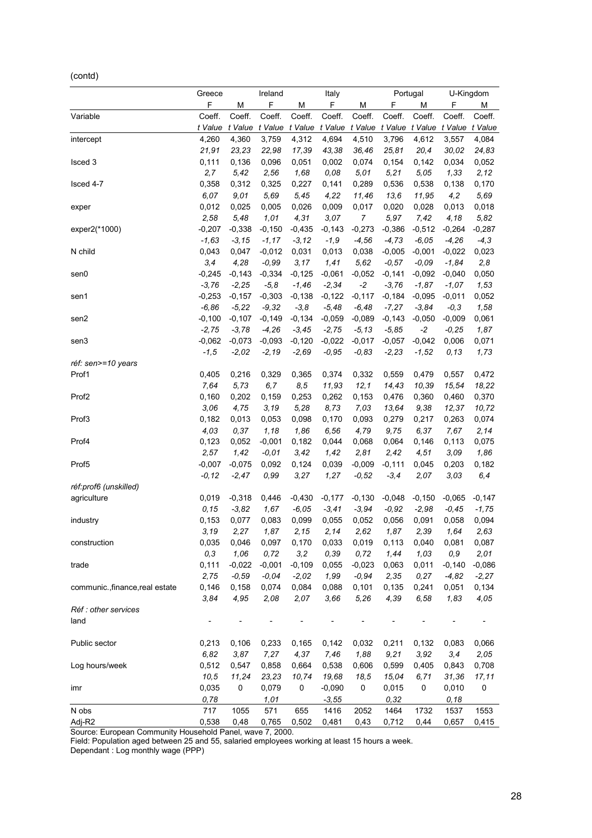(contd)

| F<br>F<br>М<br>F<br>F<br>М<br>М<br>F.<br>М<br>М<br>Coeff.<br>Coeff.<br>Coeff.<br>Coeff.<br>Coeff.<br>Coeff.<br>Coeff.<br>Coeff.<br>Coeff.<br>Coeff.<br>Variable<br>t Value<br>t Value<br>t Value<br>t Value t Value<br>t Value t Value t Value<br>t Value<br>t Value<br>4,260<br>4,312<br>4,360<br>3,759<br>4,694<br>4,510<br>3,796<br>4,612<br>3,557<br>4,084<br>intercept<br>17,39<br>25,81<br>20,4<br>30,02<br>21,91<br>23,23<br>22,98<br>43,38<br>36,46<br>24,83<br>0,111<br>0,136<br>0,096<br>0,051<br>0,002<br>0,074<br>0,154<br>0,142<br>0,034<br>0,052<br>Isced 3<br>2,7<br>5,42<br>1,68<br>0,08<br>5,21<br>5,05<br>1,33<br>2,12<br>2,56<br>5,01<br>0,358<br>0,312<br>0,325<br>0,227<br>0,141<br>0,289<br>0,536<br>0,538<br>0,138<br>0,170<br>Isced 4-7<br>6,07<br>9,01<br>4,22<br>5,69<br>5,69<br>5,45<br>11,46<br>13,6<br>11,95<br>4,2<br>0,009<br>0,012<br>0,025<br>0,005<br>0,026<br>0,017<br>0,020<br>0,028<br>0,013<br>0,018<br>exper<br>3,07<br>2,58<br>5,48<br>1,01<br>4,31<br>$\overline{7}$<br>5,97<br>7,42<br>4,18<br>5,82<br>$-0,273$<br>$-0,512$<br>$-0,207$<br>$-0,338$<br>$-0,150$<br>$-0,435$<br>$-0,143$<br>$-0,386$<br>$-0,264$<br>$-0,287$<br>exper2(*1000)<br>$-1,63$<br>$-3, 15$<br>$-3, 12$<br>$-1,9$<br>$-4,56$<br>$-4,73$<br>$-6,05$<br>$-4,26$<br>$-4,3$<br>$-1,17$<br>N child<br>0,043<br>0,047<br>$-0,012$<br>0,031<br>0,013<br>0,038<br>$-0,005$<br>$-0,001$<br>$-0,022$<br>0,023<br>3,4<br>4,28<br>$-0,99$<br>3,17<br>1,41<br>5,62<br>$-0,57$<br>$-0,09$<br>$-1,84$<br>2,8<br>$-0,245$<br>$-0,143$<br>$-0,334$<br>$-0,125$<br>$-0,061$<br>$-0,052$<br>$-0,141$<br>$-0,092$<br>$-0,040$<br>0,050<br>sen0<br>$-1,87$<br>$-3,76$<br>$-2,25$<br>$-5,8$<br>$-1,46$<br>$-2, 34$<br>$-2$<br>$-3,76$<br>$-1,07$<br>1,53<br>$-0,303$<br>$-0,117$<br>$-0,253$<br>$-0,157$<br>$-0,138$<br>$-0,122$<br>$-0,184$<br>$-0,095$<br>$-0,011$<br>0,052<br>sen1<br>$-6,86$<br>$-5,22$<br>$-9,32$<br>$-3,8$<br>$-5,48$<br>$-6,48$<br>$-7,27$<br>$-3,84$<br>$-0,3$<br>1,58<br>$-0,100$<br>$-0,107$<br>$-0,149$<br>$-0,134$<br>$-0,059$<br>$-0,089$<br>$-0,143$<br>$-0,050$<br>$-0,009$<br>0,061<br>sen2<br>$-2$<br>$-2,75$<br>$-3,78$<br>$-4,26$<br>$-3,45$<br>$-2,75$<br>$-5, 13$<br>$-5,85$<br>$-0,25$<br>1,87<br>$-0,062$<br>$-0,073$<br>$-0,120$<br>$-0,022$<br>$-0,017$<br>$-0,057$<br>$-0,042$<br>0,006<br>0,071<br>$-0,093$<br>sen3<br>$-1,5$<br>$-2,02$<br>$-2, 19$<br>$-2,69$<br>$-0,95$<br>$-0,83$<br>$-2,23$<br>$-1,52$<br>0, 13<br>1,73<br>réf: sen>=10 years<br>Prof1<br>0,405<br>0,216<br>0,329<br>0,365<br>0,374<br>0,332<br>0,559<br>0,479<br>0,557<br>0,472<br>7,64<br>5,73<br>11,93<br>12,1<br>10,39<br>15,54<br>18,22<br>6,7<br>8,5<br>14,43<br>Prof <sub>2</sub><br>0,160<br>0,202<br>0,159<br>0,253<br>0,262<br>0,153<br>0,476<br>0,360<br>0,460<br>0,370<br>3,06<br>4,75<br>3,19<br>5,28<br>8,73<br>7,03<br>13,64<br>9,38<br>12,37<br>10,72<br>0,182<br>0,013<br>0,053<br>0,098<br>0,170<br>0,093<br>0,279<br>0,217<br>0,263<br>0,074<br>Prof3<br>4,03<br>0,37<br>1,18<br>1,86<br>6,56<br>4,79<br>9,75<br>6,37<br>7,67<br>2,14<br>0,123<br>0,052<br>$-0,001$<br>0,182<br>0,044<br>0,068<br>0,064<br>0,146<br>0,113<br>0,075<br>Prof4<br>2,57<br>1,42<br>$-0,01$<br>3,42<br>1,42<br>2,81<br>2,42<br>4,51<br>3,09<br>1,86<br>Prof <sub>5</sub><br>$-0,007$<br>$-0,075$<br>0,092<br>0,124<br>0,039<br>$-0,009$<br>$-0,111$<br>0,045<br>0,203<br>0,182<br>1,27<br>2,07<br>$-0, 12$<br>$-2,47$<br>0,99<br>3,27<br>$-0,52$<br>$-3,4$<br>3,03<br>6,4<br>réf:prof6 (unskilled)<br>$-0,318$<br>0,446<br>$-0,430$<br>$-0,177$<br>$-0,130$<br>$-0,048$<br>$-0,150$<br>$-0,065$<br>$-0,147$<br>agriculture<br>0,019<br>0, 15<br>$-3,82$<br>1,67<br>$-6,05$<br>$-3,41$<br>$-3,94$<br>$-0,92$<br>$-2,98$<br>$-0,45$<br>$-1,75$<br>0,153<br>0,077<br>0,083<br>0,099<br>0,055<br>0,052<br>0,056<br>0,091<br>0,058<br>0,094<br>industry<br>3,19<br>2,27<br>1,87<br>2,15<br>2,14<br>2,62<br>1,87<br>2,39<br>1,64<br>2,63<br>0,035<br>0,087<br>construction<br>0,046<br>0,097<br>0,170<br>0,033<br>0,019<br>0,113<br>0,040<br>0,081<br>1,06<br>0,39<br>0,3<br>0,72<br>3,2<br>0,72<br>1,03<br>0,9<br>2,01<br>1,44<br>0,111<br>$-0,022$<br>$-0,001$<br>$-0,109$<br>0,055<br>$-0,023$<br>0,063<br>0,011<br>$-0,140$<br>$-0,086$<br>trade<br>2,75<br>$-0,59$<br>$-0,04$<br>$-2,02$<br>1,99<br>$-0.94$<br>2,35<br>0,27<br>$-4,82$<br>$-2,27$<br>communic., finance, real estate<br>0,146<br>0,158<br>0,074<br>0,084<br>0,088<br>0,101<br>0,135<br>0,241<br>0,051<br>0,134<br>3,84<br>4,95<br>2,08<br>2,07<br>3,66<br>5,26<br>4,39<br>6,58<br>1,83<br>4,05<br>Réf : other services<br>land<br>Public sector<br>0,213<br>0,106<br>0,233<br>0,211<br>0,083<br>0,066<br>0,165<br>0,142<br>0,032<br>0,132<br>6,82<br>3,87<br>1,88<br>3,92<br>2,05<br>7,27<br>4,37<br>7,46<br>9,21<br>3, 4<br>0,547<br>0,538<br>Log hours/week<br>0,512<br>0,858<br>0,664<br>0,606<br>0,599<br>0,405<br>0,843<br>0,708<br>10,5<br>11,24<br>23,23<br>19,68<br>18,5<br>15,04<br>6,71<br>31,36<br>10,74<br>17,11<br>0,035<br>0<br>0,079<br>0<br>$-0,090$<br>0<br>0,015<br>0<br>0,010<br>0<br>imr<br>0,78<br>1,01<br>$-3,55$<br>0,32<br>0, 18<br>N obs<br>717<br>1055<br>571<br>655<br>1416<br>2052<br>1464<br>1732<br>1537<br>1553 |        | Greece |      | Ireland |       | Italy |      |       | Portugal |       | U-Kingdom |
|-------------------------------------------------------------------------------------------------------------------------------------------------------------------------------------------------------------------------------------------------------------------------------------------------------------------------------------------------------------------------------------------------------------------------------------------------------------------------------------------------------------------------------------------------------------------------------------------------------------------------------------------------------------------------------------------------------------------------------------------------------------------------------------------------------------------------------------------------------------------------------------------------------------------------------------------------------------------------------------------------------------------------------------------------------------------------------------------------------------------------------------------------------------------------------------------------------------------------------------------------------------------------------------------------------------------------------------------------------------------------------------------------------------------------------------------------------------------------------------------------------------------------------------------------------------------------------------------------------------------------------------------------------------------------------------------------------------------------------------------------------------------------------------------------------------------------------------------------------------------------------------------------------------------------------------------------------------------------------------------------------------------------------------------------------------------------------------------------------------------------------------------------------------------------------------------------------------------------------------------------------------------------------------------------------------------------------------------------------------------------------------------------------------------------------------------------------------------------------------------------------------------------------------------------------------------------------------------------------------------------------------------------------------------------------------------------------------------------------------------------------------------------------------------------------------------------------------------------------------------------------------------------------------------------------------------------------------------------------------------------------------------------------------------------------------------------------------------------------------------------------------------------------------------------------------------------------------------------------------------------------------------------------------------------------------------------------------------------------------------------------------------------------------------------------------------------------------------------------------------------------------------------------------------------------------------------------------------------------------------------------------------------------------------------------------------------------------------------------------------------------------------------------------------------------------------------------------------------------------------------------------------------------------------------------------------------------------------------------------------------------------------------------------------------------------------------------------------------------------------------------------------------------------------------------------------------------------------------------------------------------------------------------------------------------------------------------------------------------------------------------------------------------------------------------------------------------------------------------------------------------------------------------------------------------------------------------------------------------------------------------------------------------------------------------------------------------------------------------------------------------------------------------------------------------------------------------------------------------------------------------------------------------------------------------------------------------------------------------------------------------------------------------------------------------------------------------------------------------------------------------------------------------------------------------------------------------------------------|--------|--------|------|---------|-------|-------|------|-------|----------|-------|-----------|
|                                                                                                                                                                                                                                                                                                                                                                                                                                                                                                                                                                                                                                                                                                                                                                                                                                                                                                                                                                                                                                                                                                                                                                                                                                                                                                                                                                                                                                                                                                                                                                                                                                                                                                                                                                                                                                                                                                                                                                                                                                                                                                                                                                                                                                                                                                                                                                                                                                                                                                                                                                                                                                                                                                                                                                                                                                                                                                                                                                                                                                                                                                                                                                                                                                                                                                                                                                                                                                                                                                                                                                                                                                                                                                                                                                                                                                                                                                                                                                                                                                                                                                                                                                                                                                                                                                                                                                                                                                                                                                                                                                                                                                                                                                                                                                                                                                                                                                                                                                                                                                                                                                                                                                                                                         |        |        |      |         |       |       |      |       |          |       |           |
|                                                                                                                                                                                                                                                                                                                                                                                                                                                                                                                                                                                                                                                                                                                                                                                                                                                                                                                                                                                                                                                                                                                                                                                                                                                                                                                                                                                                                                                                                                                                                                                                                                                                                                                                                                                                                                                                                                                                                                                                                                                                                                                                                                                                                                                                                                                                                                                                                                                                                                                                                                                                                                                                                                                                                                                                                                                                                                                                                                                                                                                                                                                                                                                                                                                                                                                                                                                                                                                                                                                                                                                                                                                                                                                                                                                                                                                                                                                                                                                                                                                                                                                                                                                                                                                                                                                                                                                                                                                                                                                                                                                                                                                                                                                                                                                                                                                                                                                                                                                                                                                                                                                                                                                                                         |        |        |      |         |       |       |      |       |          |       |           |
|                                                                                                                                                                                                                                                                                                                                                                                                                                                                                                                                                                                                                                                                                                                                                                                                                                                                                                                                                                                                                                                                                                                                                                                                                                                                                                                                                                                                                                                                                                                                                                                                                                                                                                                                                                                                                                                                                                                                                                                                                                                                                                                                                                                                                                                                                                                                                                                                                                                                                                                                                                                                                                                                                                                                                                                                                                                                                                                                                                                                                                                                                                                                                                                                                                                                                                                                                                                                                                                                                                                                                                                                                                                                                                                                                                                                                                                                                                                                                                                                                                                                                                                                                                                                                                                                                                                                                                                                                                                                                                                                                                                                                                                                                                                                                                                                                                                                                                                                                                                                                                                                                                                                                                                                                         |        |        |      |         |       |       |      |       |          |       |           |
|                                                                                                                                                                                                                                                                                                                                                                                                                                                                                                                                                                                                                                                                                                                                                                                                                                                                                                                                                                                                                                                                                                                                                                                                                                                                                                                                                                                                                                                                                                                                                                                                                                                                                                                                                                                                                                                                                                                                                                                                                                                                                                                                                                                                                                                                                                                                                                                                                                                                                                                                                                                                                                                                                                                                                                                                                                                                                                                                                                                                                                                                                                                                                                                                                                                                                                                                                                                                                                                                                                                                                                                                                                                                                                                                                                                                                                                                                                                                                                                                                                                                                                                                                                                                                                                                                                                                                                                                                                                                                                                                                                                                                                                                                                                                                                                                                                                                                                                                                                                                                                                                                                                                                                                                                         |        |        |      |         |       |       |      |       |          |       |           |
|                                                                                                                                                                                                                                                                                                                                                                                                                                                                                                                                                                                                                                                                                                                                                                                                                                                                                                                                                                                                                                                                                                                                                                                                                                                                                                                                                                                                                                                                                                                                                                                                                                                                                                                                                                                                                                                                                                                                                                                                                                                                                                                                                                                                                                                                                                                                                                                                                                                                                                                                                                                                                                                                                                                                                                                                                                                                                                                                                                                                                                                                                                                                                                                                                                                                                                                                                                                                                                                                                                                                                                                                                                                                                                                                                                                                                                                                                                                                                                                                                                                                                                                                                                                                                                                                                                                                                                                                                                                                                                                                                                                                                                                                                                                                                                                                                                                                                                                                                                                                                                                                                                                                                                                                                         |        |        |      |         |       |       |      |       |          |       |           |
|                                                                                                                                                                                                                                                                                                                                                                                                                                                                                                                                                                                                                                                                                                                                                                                                                                                                                                                                                                                                                                                                                                                                                                                                                                                                                                                                                                                                                                                                                                                                                                                                                                                                                                                                                                                                                                                                                                                                                                                                                                                                                                                                                                                                                                                                                                                                                                                                                                                                                                                                                                                                                                                                                                                                                                                                                                                                                                                                                                                                                                                                                                                                                                                                                                                                                                                                                                                                                                                                                                                                                                                                                                                                                                                                                                                                                                                                                                                                                                                                                                                                                                                                                                                                                                                                                                                                                                                                                                                                                                                                                                                                                                                                                                                                                                                                                                                                                                                                                                                                                                                                                                                                                                                                                         |        |        |      |         |       |       |      |       |          |       |           |
|                                                                                                                                                                                                                                                                                                                                                                                                                                                                                                                                                                                                                                                                                                                                                                                                                                                                                                                                                                                                                                                                                                                                                                                                                                                                                                                                                                                                                                                                                                                                                                                                                                                                                                                                                                                                                                                                                                                                                                                                                                                                                                                                                                                                                                                                                                                                                                                                                                                                                                                                                                                                                                                                                                                                                                                                                                                                                                                                                                                                                                                                                                                                                                                                                                                                                                                                                                                                                                                                                                                                                                                                                                                                                                                                                                                                                                                                                                                                                                                                                                                                                                                                                                                                                                                                                                                                                                                                                                                                                                                                                                                                                                                                                                                                                                                                                                                                                                                                                                                                                                                                                                                                                                                                                         |        |        |      |         |       |       |      |       |          |       |           |
|                                                                                                                                                                                                                                                                                                                                                                                                                                                                                                                                                                                                                                                                                                                                                                                                                                                                                                                                                                                                                                                                                                                                                                                                                                                                                                                                                                                                                                                                                                                                                                                                                                                                                                                                                                                                                                                                                                                                                                                                                                                                                                                                                                                                                                                                                                                                                                                                                                                                                                                                                                                                                                                                                                                                                                                                                                                                                                                                                                                                                                                                                                                                                                                                                                                                                                                                                                                                                                                                                                                                                                                                                                                                                                                                                                                                                                                                                                                                                                                                                                                                                                                                                                                                                                                                                                                                                                                                                                                                                                                                                                                                                                                                                                                                                                                                                                                                                                                                                                                                                                                                                                                                                                                                                         |        |        |      |         |       |       |      |       |          |       |           |
|                                                                                                                                                                                                                                                                                                                                                                                                                                                                                                                                                                                                                                                                                                                                                                                                                                                                                                                                                                                                                                                                                                                                                                                                                                                                                                                                                                                                                                                                                                                                                                                                                                                                                                                                                                                                                                                                                                                                                                                                                                                                                                                                                                                                                                                                                                                                                                                                                                                                                                                                                                                                                                                                                                                                                                                                                                                                                                                                                                                                                                                                                                                                                                                                                                                                                                                                                                                                                                                                                                                                                                                                                                                                                                                                                                                                                                                                                                                                                                                                                                                                                                                                                                                                                                                                                                                                                                                                                                                                                                                                                                                                                                                                                                                                                                                                                                                                                                                                                                                                                                                                                                                                                                                                                         |        |        |      |         |       |       |      |       |          |       |           |
|                                                                                                                                                                                                                                                                                                                                                                                                                                                                                                                                                                                                                                                                                                                                                                                                                                                                                                                                                                                                                                                                                                                                                                                                                                                                                                                                                                                                                                                                                                                                                                                                                                                                                                                                                                                                                                                                                                                                                                                                                                                                                                                                                                                                                                                                                                                                                                                                                                                                                                                                                                                                                                                                                                                                                                                                                                                                                                                                                                                                                                                                                                                                                                                                                                                                                                                                                                                                                                                                                                                                                                                                                                                                                                                                                                                                                                                                                                                                                                                                                                                                                                                                                                                                                                                                                                                                                                                                                                                                                                                                                                                                                                                                                                                                                                                                                                                                                                                                                                                                                                                                                                                                                                                                                         |        |        |      |         |       |       |      |       |          |       |           |
|                                                                                                                                                                                                                                                                                                                                                                                                                                                                                                                                                                                                                                                                                                                                                                                                                                                                                                                                                                                                                                                                                                                                                                                                                                                                                                                                                                                                                                                                                                                                                                                                                                                                                                                                                                                                                                                                                                                                                                                                                                                                                                                                                                                                                                                                                                                                                                                                                                                                                                                                                                                                                                                                                                                                                                                                                                                                                                                                                                                                                                                                                                                                                                                                                                                                                                                                                                                                                                                                                                                                                                                                                                                                                                                                                                                                                                                                                                                                                                                                                                                                                                                                                                                                                                                                                                                                                                                                                                                                                                                                                                                                                                                                                                                                                                                                                                                                                                                                                                                                                                                                                                                                                                                                                         |        |        |      |         |       |       |      |       |          |       |           |
|                                                                                                                                                                                                                                                                                                                                                                                                                                                                                                                                                                                                                                                                                                                                                                                                                                                                                                                                                                                                                                                                                                                                                                                                                                                                                                                                                                                                                                                                                                                                                                                                                                                                                                                                                                                                                                                                                                                                                                                                                                                                                                                                                                                                                                                                                                                                                                                                                                                                                                                                                                                                                                                                                                                                                                                                                                                                                                                                                                                                                                                                                                                                                                                                                                                                                                                                                                                                                                                                                                                                                                                                                                                                                                                                                                                                                                                                                                                                                                                                                                                                                                                                                                                                                                                                                                                                                                                                                                                                                                                                                                                                                                                                                                                                                                                                                                                                                                                                                                                                                                                                                                                                                                                                                         |        |        |      |         |       |       |      |       |          |       |           |
|                                                                                                                                                                                                                                                                                                                                                                                                                                                                                                                                                                                                                                                                                                                                                                                                                                                                                                                                                                                                                                                                                                                                                                                                                                                                                                                                                                                                                                                                                                                                                                                                                                                                                                                                                                                                                                                                                                                                                                                                                                                                                                                                                                                                                                                                                                                                                                                                                                                                                                                                                                                                                                                                                                                                                                                                                                                                                                                                                                                                                                                                                                                                                                                                                                                                                                                                                                                                                                                                                                                                                                                                                                                                                                                                                                                                                                                                                                                                                                                                                                                                                                                                                                                                                                                                                                                                                                                                                                                                                                                                                                                                                                                                                                                                                                                                                                                                                                                                                                                                                                                                                                                                                                                                                         |        |        |      |         |       |       |      |       |          |       |           |
|                                                                                                                                                                                                                                                                                                                                                                                                                                                                                                                                                                                                                                                                                                                                                                                                                                                                                                                                                                                                                                                                                                                                                                                                                                                                                                                                                                                                                                                                                                                                                                                                                                                                                                                                                                                                                                                                                                                                                                                                                                                                                                                                                                                                                                                                                                                                                                                                                                                                                                                                                                                                                                                                                                                                                                                                                                                                                                                                                                                                                                                                                                                                                                                                                                                                                                                                                                                                                                                                                                                                                                                                                                                                                                                                                                                                                                                                                                                                                                                                                                                                                                                                                                                                                                                                                                                                                                                                                                                                                                                                                                                                                                                                                                                                                                                                                                                                                                                                                                                                                                                                                                                                                                                                                         |        |        |      |         |       |       |      |       |          |       |           |
|                                                                                                                                                                                                                                                                                                                                                                                                                                                                                                                                                                                                                                                                                                                                                                                                                                                                                                                                                                                                                                                                                                                                                                                                                                                                                                                                                                                                                                                                                                                                                                                                                                                                                                                                                                                                                                                                                                                                                                                                                                                                                                                                                                                                                                                                                                                                                                                                                                                                                                                                                                                                                                                                                                                                                                                                                                                                                                                                                                                                                                                                                                                                                                                                                                                                                                                                                                                                                                                                                                                                                                                                                                                                                                                                                                                                                                                                                                                                                                                                                                                                                                                                                                                                                                                                                                                                                                                                                                                                                                                                                                                                                                                                                                                                                                                                                                                                                                                                                                                                                                                                                                                                                                                                                         |        |        |      |         |       |       |      |       |          |       |           |
|                                                                                                                                                                                                                                                                                                                                                                                                                                                                                                                                                                                                                                                                                                                                                                                                                                                                                                                                                                                                                                                                                                                                                                                                                                                                                                                                                                                                                                                                                                                                                                                                                                                                                                                                                                                                                                                                                                                                                                                                                                                                                                                                                                                                                                                                                                                                                                                                                                                                                                                                                                                                                                                                                                                                                                                                                                                                                                                                                                                                                                                                                                                                                                                                                                                                                                                                                                                                                                                                                                                                                                                                                                                                                                                                                                                                                                                                                                                                                                                                                                                                                                                                                                                                                                                                                                                                                                                                                                                                                                                                                                                                                                                                                                                                                                                                                                                                                                                                                                                                                                                                                                                                                                                                                         |        |        |      |         |       |       |      |       |          |       |           |
|                                                                                                                                                                                                                                                                                                                                                                                                                                                                                                                                                                                                                                                                                                                                                                                                                                                                                                                                                                                                                                                                                                                                                                                                                                                                                                                                                                                                                                                                                                                                                                                                                                                                                                                                                                                                                                                                                                                                                                                                                                                                                                                                                                                                                                                                                                                                                                                                                                                                                                                                                                                                                                                                                                                                                                                                                                                                                                                                                                                                                                                                                                                                                                                                                                                                                                                                                                                                                                                                                                                                                                                                                                                                                                                                                                                                                                                                                                                                                                                                                                                                                                                                                                                                                                                                                                                                                                                                                                                                                                                                                                                                                                                                                                                                                                                                                                                                                                                                                                                                                                                                                                                                                                                                                         |        |        |      |         |       |       |      |       |          |       |           |
|                                                                                                                                                                                                                                                                                                                                                                                                                                                                                                                                                                                                                                                                                                                                                                                                                                                                                                                                                                                                                                                                                                                                                                                                                                                                                                                                                                                                                                                                                                                                                                                                                                                                                                                                                                                                                                                                                                                                                                                                                                                                                                                                                                                                                                                                                                                                                                                                                                                                                                                                                                                                                                                                                                                                                                                                                                                                                                                                                                                                                                                                                                                                                                                                                                                                                                                                                                                                                                                                                                                                                                                                                                                                                                                                                                                                                                                                                                                                                                                                                                                                                                                                                                                                                                                                                                                                                                                                                                                                                                                                                                                                                                                                                                                                                                                                                                                                                                                                                                                                                                                                                                                                                                                                                         |        |        |      |         |       |       |      |       |          |       |           |
|                                                                                                                                                                                                                                                                                                                                                                                                                                                                                                                                                                                                                                                                                                                                                                                                                                                                                                                                                                                                                                                                                                                                                                                                                                                                                                                                                                                                                                                                                                                                                                                                                                                                                                                                                                                                                                                                                                                                                                                                                                                                                                                                                                                                                                                                                                                                                                                                                                                                                                                                                                                                                                                                                                                                                                                                                                                                                                                                                                                                                                                                                                                                                                                                                                                                                                                                                                                                                                                                                                                                                                                                                                                                                                                                                                                                                                                                                                                                                                                                                                                                                                                                                                                                                                                                                                                                                                                                                                                                                                                                                                                                                                                                                                                                                                                                                                                                                                                                                                                                                                                                                                                                                                                                                         |        |        |      |         |       |       |      |       |          |       |           |
|                                                                                                                                                                                                                                                                                                                                                                                                                                                                                                                                                                                                                                                                                                                                                                                                                                                                                                                                                                                                                                                                                                                                                                                                                                                                                                                                                                                                                                                                                                                                                                                                                                                                                                                                                                                                                                                                                                                                                                                                                                                                                                                                                                                                                                                                                                                                                                                                                                                                                                                                                                                                                                                                                                                                                                                                                                                                                                                                                                                                                                                                                                                                                                                                                                                                                                                                                                                                                                                                                                                                                                                                                                                                                                                                                                                                                                                                                                                                                                                                                                                                                                                                                                                                                                                                                                                                                                                                                                                                                                                                                                                                                                                                                                                                                                                                                                                                                                                                                                                                                                                                                                                                                                                                                         |        |        |      |         |       |       |      |       |          |       |           |
|                                                                                                                                                                                                                                                                                                                                                                                                                                                                                                                                                                                                                                                                                                                                                                                                                                                                                                                                                                                                                                                                                                                                                                                                                                                                                                                                                                                                                                                                                                                                                                                                                                                                                                                                                                                                                                                                                                                                                                                                                                                                                                                                                                                                                                                                                                                                                                                                                                                                                                                                                                                                                                                                                                                                                                                                                                                                                                                                                                                                                                                                                                                                                                                                                                                                                                                                                                                                                                                                                                                                                                                                                                                                                                                                                                                                                                                                                                                                                                                                                                                                                                                                                                                                                                                                                                                                                                                                                                                                                                                                                                                                                                                                                                                                                                                                                                                                                                                                                                                                                                                                                                                                                                                                                         |        |        |      |         |       |       |      |       |          |       |           |
|                                                                                                                                                                                                                                                                                                                                                                                                                                                                                                                                                                                                                                                                                                                                                                                                                                                                                                                                                                                                                                                                                                                                                                                                                                                                                                                                                                                                                                                                                                                                                                                                                                                                                                                                                                                                                                                                                                                                                                                                                                                                                                                                                                                                                                                                                                                                                                                                                                                                                                                                                                                                                                                                                                                                                                                                                                                                                                                                                                                                                                                                                                                                                                                                                                                                                                                                                                                                                                                                                                                                                                                                                                                                                                                                                                                                                                                                                                                                                                                                                                                                                                                                                                                                                                                                                                                                                                                                                                                                                                                                                                                                                                                                                                                                                                                                                                                                                                                                                                                                                                                                                                                                                                                                                         |        |        |      |         |       |       |      |       |          |       |           |
|                                                                                                                                                                                                                                                                                                                                                                                                                                                                                                                                                                                                                                                                                                                                                                                                                                                                                                                                                                                                                                                                                                                                                                                                                                                                                                                                                                                                                                                                                                                                                                                                                                                                                                                                                                                                                                                                                                                                                                                                                                                                                                                                                                                                                                                                                                                                                                                                                                                                                                                                                                                                                                                                                                                                                                                                                                                                                                                                                                                                                                                                                                                                                                                                                                                                                                                                                                                                                                                                                                                                                                                                                                                                                                                                                                                                                                                                                                                                                                                                                                                                                                                                                                                                                                                                                                                                                                                                                                                                                                                                                                                                                                                                                                                                                                                                                                                                                                                                                                                                                                                                                                                                                                                                                         |        |        |      |         |       |       |      |       |          |       |           |
|                                                                                                                                                                                                                                                                                                                                                                                                                                                                                                                                                                                                                                                                                                                                                                                                                                                                                                                                                                                                                                                                                                                                                                                                                                                                                                                                                                                                                                                                                                                                                                                                                                                                                                                                                                                                                                                                                                                                                                                                                                                                                                                                                                                                                                                                                                                                                                                                                                                                                                                                                                                                                                                                                                                                                                                                                                                                                                                                                                                                                                                                                                                                                                                                                                                                                                                                                                                                                                                                                                                                                                                                                                                                                                                                                                                                                                                                                                                                                                                                                                                                                                                                                                                                                                                                                                                                                                                                                                                                                                                                                                                                                                                                                                                                                                                                                                                                                                                                                                                                                                                                                                                                                                                                                         |        |        |      |         |       |       |      |       |          |       |           |
|                                                                                                                                                                                                                                                                                                                                                                                                                                                                                                                                                                                                                                                                                                                                                                                                                                                                                                                                                                                                                                                                                                                                                                                                                                                                                                                                                                                                                                                                                                                                                                                                                                                                                                                                                                                                                                                                                                                                                                                                                                                                                                                                                                                                                                                                                                                                                                                                                                                                                                                                                                                                                                                                                                                                                                                                                                                                                                                                                                                                                                                                                                                                                                                                                                                                                                                                                                                                                                                                                                                                                                                                                                                                                                                                                                                                                                                                                                                                                                                                                                                                                                                                                                                                                                                                                                                                                                                                                                                                                                                                                                                                                                                                                                                                                                                                                                                                                                                                                                                                                                                                                                                                                                                                                         |        |        |      |         |       |       |      |       |          |       |           |
|                                                                                                                                                                                                                                                                                                                                                                                                                                                                                                                                                                                                                                                                                                                                                                                                                                                                                                                                                                                                                                                                                                                                                                                                                                                                                                                                                                                                                                                                                                                                                                                                                                                                                                                                                                                                                                                                                                                                                                                                                                                                                                                                                                                                                                                                                                                                                                                                                                                                                                                                                                                                                                                                                                                                                                                                                                                                                                                                                                                                                                                                                                                                                                                                                                                                                                                                                                                                                                                                                                                                                                                                                                                                                                                                                                                                                                                                                                                                                                                                                                                                                                                                                                                                                                                                                                                                                                                                                                                                                                                                                                                                                                                                                                                                                                                                                                                                                                                                                                                                                                                                                                                                                                                                                         |        |        |      |         |       |       |      |       |          |       |           |
|                                                                                                                                                                                                                                                                                                                                                                                                                                                                                                                                                                                                                                                                                                                                                                                                                                                                                                                                                                                                                                                                                                                                                                                                                                                                                                                                                                                                                                                                                                                                                                                                                                                                                                                                                                                                                                                                                                                                                                                                                                                                                                                                                                                                                                                                                                                                                                                                                                                                                                                                                                                                                                                                                                                                                                                                                                                                                                                                                                                                                                                                                                                                                                                                                                                                                                                                                                                                                                                                                                                                                                                                                                                                                                                                                                                                                                                                                                                                                                                                                                                                                                                                                                                                                                                                                                                                                                                                                                                                                                                                                                                                                                                                                                                                                                                                                                                                                                                                                                                                                                                                                                                                                                                                                         |        |        |      |         |       |       |      |       |          |       |           |
|                                                                                                                                                                                                                                                                                                                                                                                                                                                                                                                                                                                                                                                                                                                                                                                                                                                                                                                                                                                                                                                                                                                                                                                                                                                                                                                                                                                                                                                                                                                                                                                                                                                                                                                                                                                                                                                                                                                                                                                                                                                                                                                                                                                                                                                                                                                                                                                                                                                                                                                                                                                                                                                                                                                                                                                                                                                                                                                                                                                                                                                                                                                                                                                                                                                                                                                                                                                                                                                                                                                                                                                                                                                                                                                                                                                                                                                                                                                                                                                                                                                                                                                                                                                                                                                                                                                                                                                                                                                                                                                                                                                                                                                                                                                                                                                                                                                                                                                                                                                                                                                                                                                                                                                                                         |        |        |      |         |       |       |      |       |          |       |           |
|                                                                                                                                                                                                                                                                                                                                                                                                                                                                                                                                                                                                                                                                                                                                                                                                                                                                                                                                                                                                                                                                                                                                                                                                                                                                                                                                                                                                                                                                                                                                                                                                                                                                                                                                                                                                                                                                                                                                                                                                                                                                                                                                                                                                                                                                                                                                                                                                                                                                                                                                                                                                                                                                                                                                                                                                                                                                                                                                                                                                                                                                                                                                                                                                                                                                                                                                                                                                                                                                                                                                                                                                                                                                                                                                                                                                                                                                                                                                                                                                                                                                                                                                                                                                                                                                                                                                                                                                                                                                                                                                                                                                                                                                                                                                                                                                                                                                                                                                                                                                                                                                                                                                                                                                                         |        |        |      |         |       |       |      |       |          |       |           |
|                                                                                                                                                                                                                                                                                                                                                                                                                                                                                                                                                                                                                                                                                                                                                                                                                                                                                                                                                                                                                                                                                                                                                                                                                                                                                                                                                                                                                                                                                                                                                                                                                                                                                                                                                                                                                                                                                                                                                                                                                                                                                                                                                                                                                                                                                                                                                                                                                                                                                                                                                                                                                                                                                                                                                                                                                                                                                                                                                                                                                                                                                                                                                                                                                                                                                                                                                                                                                                                                                                                                                                                                                                                                                                                                                                                                                                                                                                                                                                                                                                                                                                                                                                                                                                                                                                                                                                                                                                                                                                                                                                                                                                                                                                                                                                                                                                                                                                                                                                                                                                                                                                                                                                                                                         |        |        |      |         |       |       |      |       |          |       |           |
|                                                                                                                                                                                                                                                                                                                                                                                                                                                                                                                                                                                                                                                                                                                                                                                                                                                                                                                                                                                                                                                                                                                                                                                                                                                                                                                                                                                                                                                                                                                                                                                                                                                                                                                                                                                                                                                                                                                                                                                                                                                                                                                                                                                                                                                                                                                                                                                                                                                                                                                                                                                                                                                                                                                                                                                                                                                                                                                                                                                                                                                                                                                                                                                                                                                                                                                                                                                                                                                                                                                                                                                                                                                                                                                                                                                                                                                                                                                                                                                                                                                                                                                                                                                                                                                                                                                                                                                                                                                                                                                                                                                                                                                                                                                                                                                                                                                                                                                                                                                                                                                                                                                                                                                                                         |        |        |      |         |       |       |      |       |          |       |           |
|                                                                                                                                                                                                                                                                                                                                                                                                                                                                                                                                                                                                                                                                                                                                                                                                                                                                                                                                                                                                                                                                                                                                                                                                                                                                                                                                                                                                                                                                                                                                                                                                                                                                                                                                                                                                                                                                                                                                                                                                                                                                                                                                                                                                                                                                                                                                                                                                                                                                                                                                                                                                                                                                                                                                                                                                                                                                                                                                                                                                                                                                                                                                                                                                                                                                                                                                                                                                                                                                                                                                                                                                                                                                                                                                                                                                                                                                                                                                                                                                                                                                                                                                                                                                                                                                                                                                                                                                                                                                                                                                                                                                                                                                                                                                                                                                                                                                                                                                                                                                                                                                                                                                                                                                                         |        |        |      |         |       |       |      |       |          |       |           |
|                                                                                                                                                                                                                                                                                                                                                                                                                                                                                                                                                                                                                                                                                                                                                                                                                                                                                                                                                                                                                                                                                                                                                                                                                                                                                                                                                                                                                                                                                                                                                                                                                                                                                                                                                                                                                                                                                                                                                                                                                                                                                                                                                                                                                                                                                                                                                                                                                                                                                                                                                                                                                                                                                                                                                                                                                                                                                                                                                                                                                                                                                                                                                                                                                                                                                                                                                                                                                                                                                                                                                                                                                                                                                                                                                                                                                                                                                                                                                                                                                                                                                                                                                                                                                                                                                                                                                                                                                                                                                                                                                                                                                                                                                                                                                                                                                                                                                                                                                                                                                                                                                                                                                                                                                         |        |        |      |         |       |       |      |       |          |       |           |
|                                                                                                                                                                                                                                                                                                                                                                                                                                                                                                                                                                                                                                                                                                                                                                                                                                                                                                                                                                                                                                                                                                                                                                                                                                                                                                                                                                                                                                                                                                                                                                                                                                                                                                                                                                                                                                                                                                                                                                                                                                                                                                                                                                                                                                                                                                                                                                                                                                                                                                                                                                                                                                                                                                                                                                                                                                                                                                                                                                                                                                                                                                                                                                                                                                                                                                                                                                                                                                                                                                                                                                                                                                                                                                                                                                                                                                                                                                                                                                                                                                                                                                                                                                                                                                                                                                                                                                                                                                                                                                                                                                                                                                                                                                                                                                                                                                                                                                                                                                                                                                                                                                                                                                                                                         |        |        |      |         |       |       |      |       |          |       |           |
|                                                                                                                                                                                                                                                                                                                                                                                                                                                                                                                                                                                                                                                                                                                                                                                                                                                                                                                                                                                                                                                                                                                                                                                                                                                                                                                                                                                                                                                                                                                                                                                                                                                                                                                                                                                                                                                                                                                                                                                                                                                                                                                                                                                                                                                                                                                                                                                                                                                                                                                                                                                                                                                                                                                                                                                                                                                                                                                                                                                                                                                                                                                                                                                                                                                                                                                                                                                                                                                                                                                                                                                                                                                                                                                                                                                                                                                                                                                                                                                                                                                                                                                                                                                                                                                                                                                                                                                                                                                                                                                                                                                                                                                                                                                                                                                                                                                                                                                                                                                                                                                                                                                                                                                                                         |        |        |      |         |       |       |      |       |          |       |           |
|                                                                                                                                                                                                                                                                                                                                                                                                                                                                                                                                                                                                                                                                                                                                                                                                                                                                                                                                                                                                                                                                                                                                                                                                                                                                                                                                                                                                                                                                                                                                                                                                                                                                                                                                                                                                                                                                                                                                                                                                                                                                                                                                                                                                                                                                                                                                                                                                                                                                                                                                                                                                                                                                                                                                                                                                                                                                                                                                                                                                                                                                                                                                                                                                                                                                                                                                                                                                                                                                                                                                                                                                                                                                                                                                                                                                                                                                                                                                                                                                                                                                                                                                                                                                                                                                                                                                                                                                                                                                                                                                                                                                                                                                                                                                                                                                                                                                                                                                                                                                                                                                                                                                                                                                                         |        |        |      |         |       |       |      |       |          |       |           |
|                                                                                                                                                                                                                                                                                                                                                                                                                                                                                                                                                                                                                                                                                                                                                                                                                                                                                                                                                                                                                                                                                                                                                                                                                                                                                                                                                                                                                                                                                                                                                                                                                                                                                                                                                                                                                                                                                                                                                                                                                                                                                                                                                                                                                                                                                                                                                                                                                                                                                                                                                                                                                                                                                                                                                                                                                                                                                                                                                                                                                                                                                                                                                                                                                                                                                                                                                                                                                                                                                                                                                                                                                                                                                                                                                                                                                                                                                                                                                                                                                                                                                                                                                                                                                                                                                                                                                                                                                                                                                                                                                                                                                                                                                                                                                                                                                                                                                                                                                                                                                                                                                                                                                                                                                         |        |        |      |         |       |       |      |       |          |       |           |
|                                                                                                                                                                                                                                                                                                                                                                                                                                                                                                                                                                                                                                                                                                                                                                                                                                                                                                                                                                                                                                                                                                                                                                                                                                                                                                                                                                                                                                                                                                                                                                                                                                                                                                                                                                                                                                                                                                                                                                                                                                                                                                                                                                                                                                                                                                                                                                                                                                                                                                                                                                                                                                                                                                                                                                                                                                                                                                                                                                                                                                                                                                                                                                                                                                                                                                                                                                                                                                                                                                                                                                                                                                                                                                                                                                                                                                                                                                                                                                                                                                                                                                                                                                                                                                                                                                                                                                                                                                                                                                                                                                                                                                                                                                                                                                                                                                                                                                                                                                                                                                                                                                                                                                                                                         |        |        |      |         |       |       |      |       |          |       |           |
|                                                                                                                                                                                                                                                                                                                                                                                                                                                                                                                                                                                                                                                                                                                                                                                                                                                                                                                                                                                                                                                                                                                                                                                                                                                                                                                                                                                                                                                                                                                                                                                                                                                                                                                                                                                                                                                                                                                                                                                                                                                                                                                                                                                                                                                                                                                                                                                                                                                                                                                                                                                                                                                                                                                                                                                                                                                                                                                                                                                                                                                                                                                                                                                                                                                                                                                                                                                                                                                                                                                                                                                                                                                                                                                                                                                                                                                                                                                                                                                                                                                                                                                                                                                                                                                                                                                                                                                                                                                                                                                                                                                                                                                                                                                                                                                                                                                                                                                                                                                                                                                                                                                                                                                                                         |        |        |      |         |       |       |      |       |          |       |           |
|                                                                                                                                                                                                                                                                                                                                                                                                                                                                                                                                                                                                                                                                                                                                                                                                                                                                                                                                                                                                                                                                                                                                                                                                                                                                                                                                                                                                                                                                                                                                                                                                                                                                                                                                                                                                                                                                                                                                                                                                                                                                                                                                                                                                                                                                                                                                                                                                                                                                                                                                                                                                                                                                                                                                                                                                                                                                                                                                                                                                                                                                                                                                                                                                                                                                                                                                                                                                                                                                                                                                                                                                                                                                                                                                                                                                                                                                                                                                                                                                                                                                                                                                                                                                                                                                                                                                                                                                                                                                                                                                                                                                                                                                                                                                                                                                                                                                                                                                                                                                                                                                                                                                                                                                                         |        |        |      |         |       |       |      |       |          |       |           |
|                                                                                                                                                                                                                                                                                                                                                                                                                                                                                                                                                                                                                                                                                                                                                                                                                                                                                                                                                                                                                                                                                                                                                                                                                                                                                                                                                                                                                                                                                                                                                                                                                                                                                                                                                                                                                                                                                                                                                                                                                                                                                                                                                                                                                                                                                                                                                                                                                                                                                                                                                                                                                                                                                                                                                                                                                                                                                                                                                                                                                                                                                                                                                                                                                                                                                                                                                                                                                                                                                                                                                                                                                                                                                                                                                                                                                                                                                                                                                                                                                                                                                                                                                                                                                                                                                                                                                                                                                                                                                                                                                                                                                                                                                                                                                                                                                                                                                                                                                                                                                                                                                                                                                                                                                         |        |        |      |         |       |       |      |       |          |       |           |
|                                                                                                                                                                                                                                                                                                                                                                                                                                                                                                                                                                                                                                                                                                                                                                                                                                                                                                                                                                                                                                                                                                                                                                                                                                                                                                                                                                                                                                                                                                                                                                                                                                                                                                                                                                                                                                                                                                                                                                                                                                                                                                                                                                                                                                                                                                                                                                                                                                                                                                                                                                                                                                                                                                                                                                                                                                                                                                                                                                                                                                                                                                                                                                                                                                                                                                                                                                                                                                                                                                                                                                                                                                                                                                                                                                                                                                                                                                                                                                                                                                                                                                                                                                                                                                                                                                                                                                                                                                                                                                                                                                                                                                                                                                                                                                                                                                                                                                                                                                                                                                                                                                                                                                                                                         |        |        |      |         |       |       |      |       |          |       |           |
|                                                                                                                                                                                                                                                                                                                                                                                                                                                                                                                                                                                                                                                                                                                                                                                                                                                                                                                                                                                                                                                                                                                                                                                                                                                                                                                                                                                                                                                                                                                                                                                                                                                                                                                                                                                                                                                                                                                                                                                                                                                                                                                                                                                                                                                                                                                                                                                                                                                                                                                                                                                                                                                                                                                                                                                                                                                                                                                                                                                                                                                                                                                                                                                                                                                                                                                                                                                                                                                                                                                                                                                                                                                                                                                                                                                                                                                                                                                                                                                                                                                                                                                                                                                                                                                                                                                                                                                                                                                                                                                                                                                                                                                                                                                                                                                                                                                                                                                                                                                                                                                                                                                                                                                                                         |        |        |      |         |       |       |      |       |          |       |           |
|                                                                                                                                                                                                                                                                                                                                                                                                                                                                                                                                                                                                                                                                                                                                                                                                                                                                                                                                                                                                                                                                                                                                                                                                                                                                                                                                                                                                                                                                                                                                                                                                                                                                                                                                                                                                                                                                                                                                                                                                                                                                                                                                                                                                                                                                                                                                                                                                                                                                                                                                                                                                                                                                                                                                                                                                                                                                                                                                                                                                                                                                                                                                                                                                                                                                                                                                                                                                                                                                                                                                                                                                                                                                                                                                                                                                                                                                                                                                                                                                                                                                                                                                                                                                                                                                                                                                                                                                                                                                                                                                                                                                                                                                                                                                                                                                                                                                                                                                                                                                                                                                                                                                                                                                                         |        |        |      |         |       |       |      |       |          |       |           |
|                                                                                                                                                                                                                                                                                                                                                                                                                                                                                                                                                                                                                                                                                                                                                                                                                                                                                                                                                                                                                                                                                                                                                                                                                                                                                                                                                                                                                                                                                                                                                                                                                                                                                                                                                                                                                                                                                                                                                                                                                                                                                                                                                                                                                                                                                                                                                                                                                                                                                                                                                                                                                                                                                                                                                                                                                                                                                                                                                                                                                                                                                                                                                                                                                                                                                                                                                                                                                                                                                                                                                                                                                                                                                                                                                                                                                                                                                                                                                                                                                                                                                                                                                                                                                                                                                                                                                                                                                                                                                                                                                                                                                                                                                                                                                                                                                                                                                                                                                                                                                                                                                                                                                                                                                         |        |        |      |         |       |       |      |       |          |       |           |
|                                                                                                                                                                                                                                                                                                                                                                                                                                                                                                                                                                                                                                                                                                                                                                                                                                                                                                                                                                                                                                                                                                                                                                                                                                                                                                                                                                                                                                                                                                                                                                                                                                                                                                                                                                                                                                                                                                                                                                                                                                                                                                                                                                                                                                                                                                                                                                                                                                                                                                                                                                                                                                                                                                                                                                                                                                                                                                                                                                                                                                                                                                                                                                                                                                                                                                                                                                                                                                                                                                                                                                                                                                                                                                                                                                                                                                                                                                                                                                                                                                                                                                                                                                                                                                                                                                                                                                                                                                                                                                                                                                                                                                                                                                                                                                                                                                                                                                                                                                                                                                                                                                                                                                                                                         |        |        |      |         |       |       |      |       |          |       |           |
|                                                                                                                                                                                                                                                                                                                                                                                                                                                                                                                                                                                                                                                                                                                                                                                                                                                                                                                                                                                                                                                                                                                                                                                                                                                                                                                                                                                                                                                                                                                                                                                                                                                                                                                                                                                                                                                                                                                                                                                                                                                                                                                                                                                                                                                                                                                                                                                                                                                                                                                                                                                                                                                                                                                                                                                                                                                                                                                                                                                                                                                                                                                                                                                                                                                                                                                                                                                                                                                                                                                                                                                                                                                                                                                                                                                                                                                                                                                                                                                                                                                                                                                                                                                                                                                                                                                                                                                                                                                                                                                                                                                                                                                                                                                                                                                                                                                                                                                                                                                                                                                                                                                                                                                                                         |        |        |      |         |       |       |      |       |          |       |           |
|                                                                                                                                                                                                                                                                                                                                                                                                                                                                                                                                                                                                                                                                                                                                                                                                                                                                                                                                                                                                                                                                                                                                                                                                                                                                                                                                                                                                                                                                                                                                                                                                                                                                                                                                                                                                                                                                                                                                                                                                                                                                                                                                                                                                                                                                                                                                                                                                                                                                                                                                                                                                                                                                                                                                                                                                                                                                                                                                                                                                                                                                                                                                                                                                                                                                                                                                                                                                                                                                                                                                                                                                                                                                                                                                                                                                                                                                                                                                                                                                                                                                                                                                                                                                                                                                                                                                                                                                                                                                                                                                                                                                                                                                                                                                                                                                                                                                                                                                                                                                                                                                                                                                                                                                                         |        |        |      |         |       |       |      |       |          |       |           |
|                                                                                                                                                                                                                                                                                                                                                                                                                                                                                                                                                                                                                                                                                                                                                                                                                                                                                                                                                                                                                                                                                                                                                                                                                                                                                                                                                                                                                                                                                                                                                                                                                                                                                                                                                                                                                                                                                                                                                                                                                                                                                                                                                                                                                                                                                                                                                                                                                                                                                                                                                                                                                                                                                                                                                                                                                                                                                                                                                                                                                                                                                                                                                                                                                                                                                                                                                                                                                                                                                                                                                                                                                                                                                                                                                                                                                                                                                                                                                                                                                                                                                                                                                                                                                                                                                                                                                                                                                                                                                                                                                                                                                                                                                                                                                                                                                                                                                                                                                                                                                                                                                                                                                                                                                         |        |        |      |         |       |       |      |       |          |       |           |
|                                                                                                                                                                                                                                                                                                                                                                                                                                                                                                                                                                                                                                                                                                                                                                                                                                                                                                                                                                                                                                                                                                                                                                                                                                                                                                                                                                                                                                                                                                                                                                                                                                                                                                                                                                                                                                                                                                                                                                                                                                                                                                                                                                                                                                                                                                                                                                                                                                                                                                                                                                                                                                                                                                                                                                                                                                                                                                                                                                                                                                                                                                                                                                                                                                                                                                                                                                                                                                                                                                                                                                                                                                                                                                                                                                                                                                                                                                                                                                                                                                                                                                                                                                                                                                                                                                                                                                                                                                                                                                                                                                                                                                                                                                                                                                                                                                                                                                                                                                                                                                                                                                                                                                                                                         |        |        |      |         |       |       |      |       |          |       |           |
|                                                                                                                                                                                                                                                                                                                                                                                                                                                                                                                                                                                                                                                                                                                                                                                                                                                                                                                                                                                                                                                                                                                                                                                                                                                                                                                                                                                                                                                                                                                                                                                                                                                                                                                                                                                                                                                                                                                                                                                                                                                                                                                                                                                                                                                                                                                                                                                                                                                                                                                                                                                                                                                                                                                                                                                                                                                                                                                                                                                                                                                                                                                                                                                                                                                                                                                                                                                                                                                                                                                                                                                                                                                                                                                                                                                                                                                                                                                                                                                                                                                                                                                                                                                                                                                                                                                                                                                                                                                                                                                                                                                                                                                                                                                                                                                                                                                                                                                                                                                                                                                                                                                                                                                                                         |        |        |      |         |       |       |      |       |          |       |           |
|                                                                                                                                                                                                                                                                                                                                                                                                                                                                                                                                                                                                                                                                                                                                                                                                                                                                                                                                                                                                                                                                                                                                                                                                                                                                                                                                                                                                                                                                                                                                                                                                                                                                                                                                                                                                                                                                                                                                                                                                                                                                                                                                                                                                                                                                                                                                                                                                                                                                                                                                                                                                                                                                                                                                                                                                                                                                                                                                                                                                                                                                                                                                                                                                                                                                                                                                                                                                                                                                                                                                                                                                                                                                                                                                                                                                                                                                                                                                                                                                                                                                                                                                                                                                                                                                                                                                                                                                                                                                                                                                                                                                                                                                                                                                                                                                                                                                                                                                                                                                                                                                                                                                                                                                                         |        |        |      |         |       |       |      |       |          |       |           |
|                                                                                                                                                                                                                                                                                                                                                                                                                                                                                                                                                                                                                                                                                                                                                                                                                                                                                                                                                                                                                                                                                                                                                                                                                                                                                                                                                                                                                                                                                                                                                                                                                                                                                                                                                                                                                                                                                                                                                                                                                                                                                                                                                                                                                                                                                                                                                                                                                                                                                                                                                                                                                                                                                                                                                                                                                                                                                                                                                                                                                                                                                                                                                                                                                                                                                                                                                                                                                                                                                                                                                                                                                                                                                                                                                                                                                                                                                                                                                                                                                                                                                                                                                                                                                                                                                                                                                                                                                                                                                                                                                                                                                                                                                                                                                                                                                                                                                                                                                                                                                                                                                                                                                                                                                         |        |        |      |         |       |       |      |       |          |       |           |
|                                                                                                                                                                                                                                                                                                                                                                                                                                                                                                                                                                                                                                                                                                                                                                                                                                                                                                                                                                                                                                                                                                                                                                                                                                                                                                                                                                                                                                                                                                                                                                                                                                                                                                                                                                                                                                                                                                                                                                                                                                                                                                                                                                                                                                                                                                                                                                                                                                                                                                                                                                                                                                                                                                                                                                                                                                                                                                                                                                                                                                                                                                                                                                                                                                                                                                                                                                                                                                                                                                                                                                                                                                                                                                                                                                                                                                                                                                                                                                                                                                                                                                                                                                                                                                                                                                                                                                                                                                                                                                                                                                                                                                                                                                                                                                                                                                                                                                                                                                                                                                                                                                                                                                                                                         |        |        |      |         |       |       |      |       |          |       |           |
|                                                                                                                                                                                                                                                                                                                                                                                                                                                                                                                                                                                                                                                                                                                                                                                                                                                                                                                                                                                                                                                                                                                                                                                                                                                                                                                                                                                                                                                                                                                                                                                                                                                                                                                                                                                                                                                                                                                                                                                                                                                                                                                                                                                                                                                                                                                                                                                                                                                                                                                                                                                                                                                                                                                                                                                                                                                                                                                                                                                                                                                                                                                                                                                                                                                                                                                                                                                                                                                                                                                                                                                                                                                                                                                                                                                                                                                                                                                                                                                                                                                                                                                                                                                                                                                                                                                                                                                                                                                                                                                                                                                                                                                                                                                                                                                                                                                                                                                                                                                                                                                                                                                                                                                                                         |        |        |      |         |       |       |      |       |          |       |           |
|                                                                                                                                                                                                                                                                                                                                                                                                                                                                                                                                                                                                                                                                                                                                                                                                                                                                                                                                                                                                                                                                                                                                                                                                                                                                                                                                                                                                                                                                                                                                                                                                                                                                                                                                                                                                                                                                                                                                                                                                                                                                                                                                                                                                                                                                                                                                                                                                                                                                                                                                                                                                                                                                                                                                                                                                                                                                                                                                                                                                                                                                                                                                                                                                                                                                                                                                                                                                                                                                                                                                                                                                                                                                                                                                                                                                                                                                                                                                                                                                                                                                                                                                                                                                                                                                                                                                                                                                                                                                                                                                                                                                                                                                                                                                                                                                                                                                                                                                                                                                                                                                                                                                                                                                                         | Adj-R2 | 0,538  | 0,48 | 0,765   | 0,502 | 0,481 | 0,43 | 0,712 | 0,44     | 0,657 | 0,415     |

Source: European Community Household Panel, wave 7, 2000.

Field: Population aged between 25 and 55, salaried employees working at least 15 hours a week.

Dependant : Log monthly wage (PPP)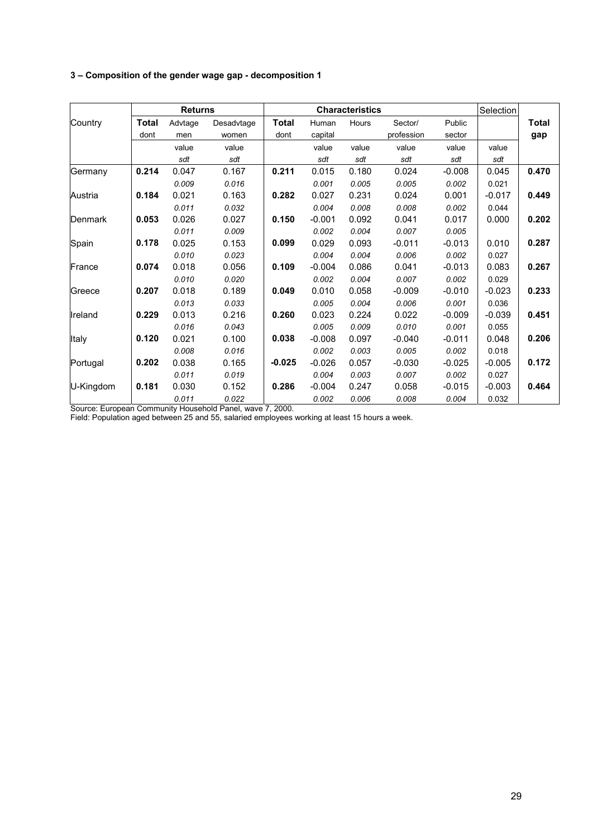## **3 – Composition of the gender wage gap - decomposition 1**

|           |              | <b>Returns</b> |            |              |          | <b>Characteristics</b> |            |          | Selection |       |
|-----------|--------------|----------------|------------|--------------|----------|------------------------|------------|----------|-----------|-------|
| Country   | <b>Total</b> | Advtage        | Desadvtage | <b>Total</b> | Human    | Hours                  | Sector/    | Public   |           | Total |
|           | dont         | men            | women      | dont         | capital  |                        | profession | sector   |           | gap   |
|           |              | value          | value      |              | value    | value                  | value      | value    | value     |       |
|           |              | sdt            | sdt        |              | sdt      | sdt                    | sdt        | sdt      | sdt       |       |
| Germany   | 0.214        | 0.047          | 0.167      | 0.211        | 0.015    | 0.180                  | 0.024      | $-0.008$ | 0.045     | 0.470 |
|           |              | 0.009          | 0.016      |              | 0.001    | 0.005                  | 0.005      | 0.002    | 0.021     |       |
| Austria   | 0.184        | 0.021          | 0.163      | 0.282        | 0.027    | 0.231                  | 0.024      | 0.001    | $-0.017$  | 0.449 |
|           |              | 0.011          | 0.032      |              | 0.004    | 0.008                  | 0.008      | 0.002    | 0.044     |       |
| Denmark   | 0.053        | 0.026          | 0.027      | 0.150        | $-0.001$ | 0.092                  | 0.041      | 0.017    | 0.000     | 0.202 |
|           |              | 0.011          | 0.009      |              | 0.002    | 0.004                  | 0.007      | 0.005    |           |       |
| Spain     | 0.178        | 0.025          | 0.153      | 0.099        | 0.029    | 0.093                  | $-0.011$   | $-0.013$ | 0.010     | 0.287 |
|           |              | 0.010          | 0.023      |              | 0.004    | 0.004                  | 0.006      | 0.002    | 0.027     |       |
| France    | 0.074        | 0.018          | 0.056      | 0.109        | $-0.004$ | 0.086                  | 0.041      | $-0.013$ | 0.083     | 0.267 |
|           |              | 0.010          | 0.020      |              | 0.002    | 0.004                  | 0.007      | 0.002    | 0.029     |       |
| Greece    | 0.207        | 0.018          | 0.189      | 0.049        | 0.010    | 0.058                  | $-0.009$   | $-0.010$ | $-0.023$  | 0.233 |
|           |              | 0.013          | 0.033      |              | 0.005    | 0.004                  | 0.006      | 0.001    | 0.036     |       |
| Ireland   | 0.229        | 0.013          | 0.216      | 0.260        | 0.023    | 0.224                  | 0.022      | $-0.009$ | $-0.039$  | 0.451 |
|           |              | 0.016          | 0.043      |              | 0.005    | 0.009                  | 0.010      | 0.001    | 0.055     |       |
| Italy     | 0.120        | 0.021          | 0.100      | 0.038        | $-0.008$ | 0.097                  | $-0.040$   | $-0.011$ | 0.048     | 0.206 |
|           |              | 0.008          | 0.016      |              | 0.002    | 0.003                  | 0.005      | 0.002    | 0.018     |       |
| Portugal  | 0.202        | 0.038          | 0.165      | $-0.025$     | $-0.026$ | 0.057                  | $-0.030$   | $-0.025$ | $-0.005$  | 0.172 |
|           |              | 0.011          | 0.019      |              | 0.004    | 0.003                  | 0.007      | 0.002    | 0.027     |       |
| U-Kingdom | 0.181        | 0.030          | 0.152      | 0.286        | $-0.004$ | 0.247                  | 0.058      | $-0.015$ | $-0.003$  | 0.464 |
|           |              | 0.011          | 0.022      |              | 0.002    | 0.006                  | 0.008      | 0.004    | 0.032     |       |

Source: European Community Household Panel, wave 7, 2000.